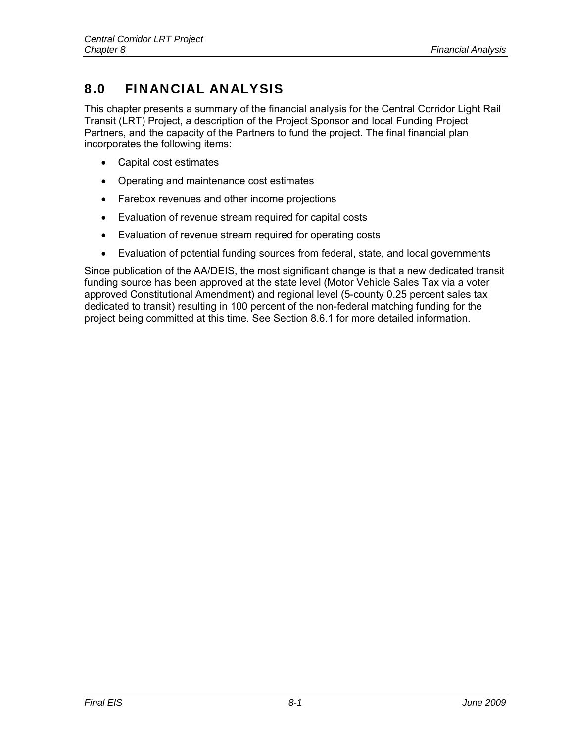# 8.0 FINANCIAL ANALYSIS

This chapter presents a summary of the financial analysis for the Central Corridor Light Rail Transit (LRT) Project, a description of the Project Sponsor and local Funding Project Partners, and the capacity of the Partners to fund the project. The final financial plan incorporates the following items:

- Capital cost estimates
- Operating and maintenance cost estimates
- Farebox revenues and other income projections
- Evaluation of revenue stream required for capital costs
- Evaluation of revenue stream required for operating costs
- Evaluation of potential funding sources from federal, state, and local governments

Since publication of the AA/DEIS, the most significant change is that a new dedicated transit funding source has been approved at the state level (Motor Vehicle Sales Tax via a voter approved Constitutional Amendment) and regional level (5-county 0.25 percent sales tax dedicated to transit) resulting in 100 percent of the non-federal matching funding for the project being committed at this time. See Section 8.6.1 for more detailed information.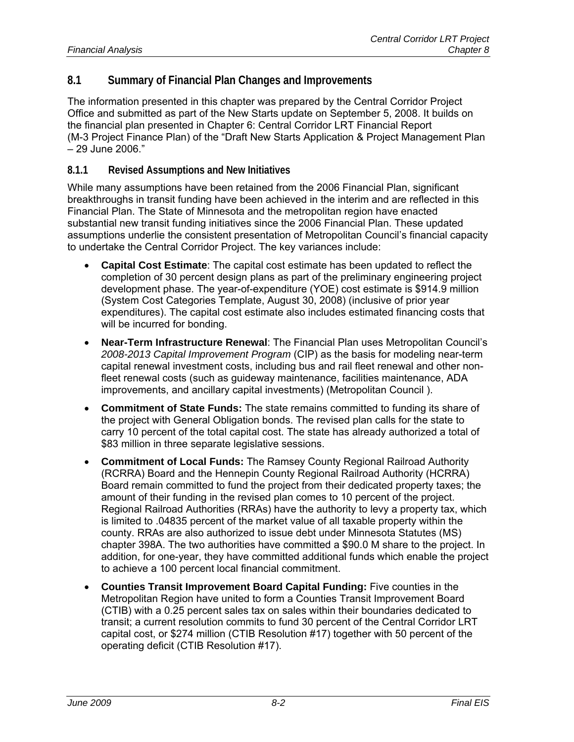## **8.1 Summary of Financial Plan Changes and Improvements**

The information presented in this chapter was prepared by the Central Corridor Project Office and submitted as part of the New Starts update on September 5, 2008. It builds on the financial plan presented in Chapter 6: Central Corridor LRT Financial Report (M-3 Project Finance Plan) of the "Draft New Starts Application & Project Management Plan – 29 June 2006."

#### **8.1.1 Revised Assumptions and New Initiatives**

While many assumptions have been retained from the 2006 Financial Plan, significant breakthroughs in transit funding have been achieved in the interim and are reflected in this Financial Plan. The State of Minnesota and the metropolitan region have enacted substantial new transit funding initiatives since the 2006 Financial Plan. These updated assumptions underlie the consistent presentation of Metropolitan Council's financial capacity to undertake the Central Corridor Project. The key variances include:

- **Capital Cost Estimate**: The capital cost estimate has been updated to reflect the completion of 30 percent design plans as part of the preliminary engineering project development phase. The year-of-expenditure (YOE) cost estimate is \$914.9 million (System Cost Categories Template, August 30, 2008) (inclusive of prior year expenditures). The capital cost estimate also includes estimated financing costs that will be incurred for bonding.
- **Near-Term Infrastructure Renewal**: The Financial Plan uses Metropolitan Council's *2008-2013 Capital Improvement Program* (CIP) as the basis for modeling near-term capital renewal investment costs, including bus and rail fleet renewal and other nonfleet renewal costs (such as guideway maintenance, facilities maintenance, ADA improvements, and ancillary capital investments) (Metropolitan Council ).
- **Commitment of State Funds:** The state remains committed to funding its share of the project with General Obligation bonds. The revised plan calls for the state to carry 10 percent of the total capital cost. The state has already authorized a total of \$83 million in three separate legislative sessions.
- **Commitment of Local Funds:** The Ramsey County Regional Railroad Authority (RCRRA) Board and the Hennepin County Regional Railroad Authority (HCRRA) Board remain committed to fund the project from their dedicated property taxes; the amount of their funding in the revised plan comes to 10 percent of the project. Regional Railroad Authorities (RRAs) have the authority to levy a property tax, which is limited to .04835 percent of the market value of all taxable property within the county. RRAs are also authorized to issue debt under Minnesota Statutes (MS) chapter 398A. The two authorities have committed a \$90.0 M share to the project. In addition, for one-year, they have committed additional funds which enable the project to achieve a 100 percent local financial commitment.
- **Counties Transit Improvement Board Capital Funding:** Five counties in the Metropolitan Region have united to form a Counties Transit Improvement Board (CTIB) with a 0.25 percent sales tax on sales within their boundaries dedicated to transit; a current resolution commits to fund 30 percent of the Central Corridor LRT capital cost, or \$274 million (CTIB Resolution #17) together with 50 percent of the operating deficit (CTIB Resolution #17).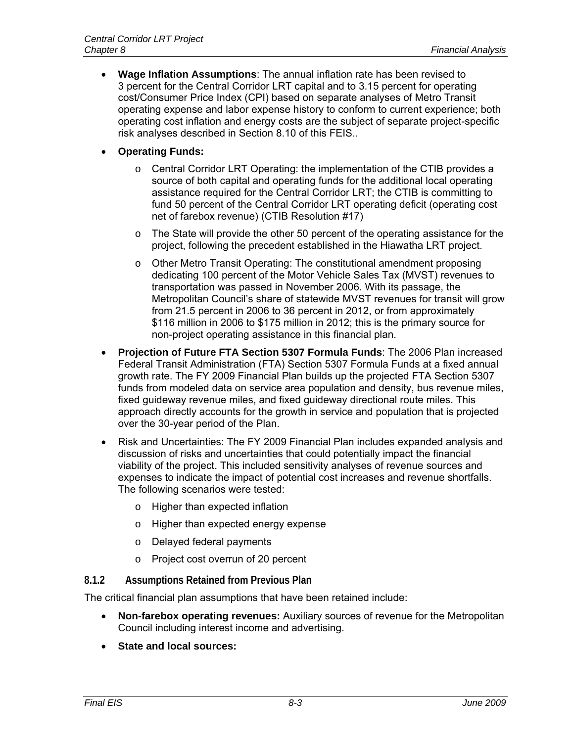- **Wage Inflation Assumptions**: The annual inflation rate has been revised to 3 percent for the Central Corridor LRT capital and to 3.15 percent for operating cost/Consumer Price Index (CPI) based on separate analyses of Metro Transit operating expense and labor expense history to conform to current experience; both operating cost inflation and energy costs are the subject of separate project-specific risk analyses described in Section 8.10 of this FEIS..
- **Operating Funds:**
	- $\circ$  Central Corridor LRT Operating: the implementation of the CTIB provides a source of both capital and operating funds for the additional local operating assistance required for the Central Corridor LRT; the CTIB is committing to fund 50 percent of the Central Corridor LRT operating deficit (operating cost net of farebox revenue) (CTIB Resolution #17)
	- $\circ$  The State will provide the other 50 percent of the operating assistance for the project, following the precedent established in the Hiawatha LRT project.
	- o Other Metro Transit Operating: The constitutional amendment proposing dedicating 100 percent of the Motor Vehicle Sales Tax (MVST) revenues to transportation was passed in November 2006. With its passage, the Metropolitan Council's share of statewide MVST revenues for transit will grow from 21.5 percent in 2006 to 36 percent in 2012, or from approximately \$116 million in 2006 to \$175 million in 2012; this is the primary source for non-project operating assistance in this financial plan.
- **Projection of Future FTA Section 5307 Formula Funds**: The 2006 Plan increased Federal Transit Administration (FTA) Section 5307 Formula Funds at a fixed annual growth rate. The FY 2009 Financial Plan builds up the projected FTA Section 5307 funds from modeled data on service area population and density, bus revenue miles, fixed guideway revenue miles, and fixed guideway directional route miles. This approach directly accounts for the growth in service and population that is projected over the 30-year period of the Plan.
- Risk and Uncertainties: The FY 2009 Financial Plan includes expanded analysis and discussion of risks and uncertainties that could potentially impact the financial viability of the project. This included sensitivity analyses of revenue sources and expenses to indicate the impact of potential cost increases and revenue shortfalls. The following scenarios were tested:
	- o Higher than expected inflation
	- o Higher than expected energy expense
	- o Delayed federal payments
	- o Project cost overrun of 20 percent

## **8.1.2 Assumptions Retained from Previous Plan**

The critical financial plan assumptions that have been retained include:

- **Non-farebox operating revenues:** Auxiliary sources of revenue for the Metropolitan Council including interest income and advertising.
- **State and local sources:**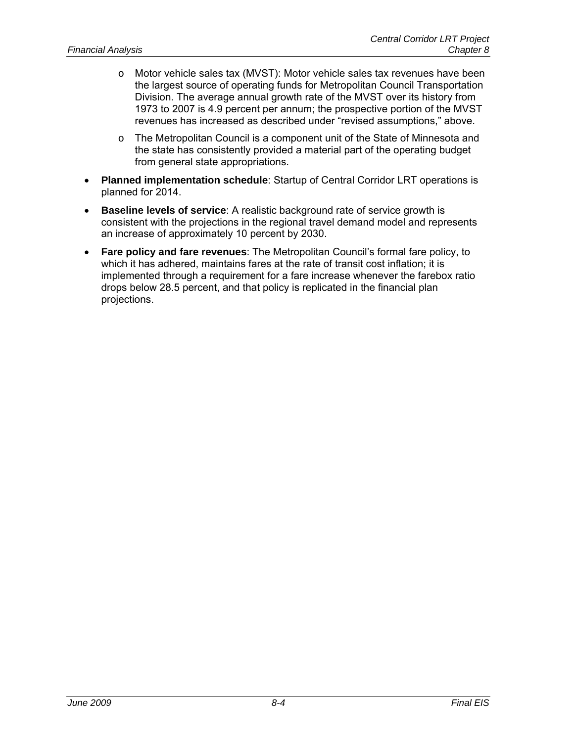- o Motor vehicle sales tax (MVST): Motor vehicle sales tax revenues have been the largest source of operating funds for Metropolitan Council Transportation Division. The average annual growth rate of the MVST over its history from 1973 to 2007 is 4.9 percent per annum; the prospective portion of the MVST revenues has increased as described under "revised assumptions," above.
- $\circ$  The Metropolitan Council is a component unit of the State of Minnesota and the state has consistently provided a material part of the operating budget from general state appropriations.
- **Planned implementation schedule**: Startup of Central Corridor LRT operations is planned for 2014.
- **Baseline levels of service**: A realistic background rate of service growth is consistent with the projections in the regional travel demand model and represents an increase of approximately 10 percent by 2030.
- **Fare policy and fare revenues**: The Metropolitan Council's formal fare policy, to which it has adhered, maintains fares at the rate of transit cost inflation; it is implemented through a requirement for a fare increase whenever the farebox ratio drops below 28.5 percent, and that policy is replicated in the financial plan projections.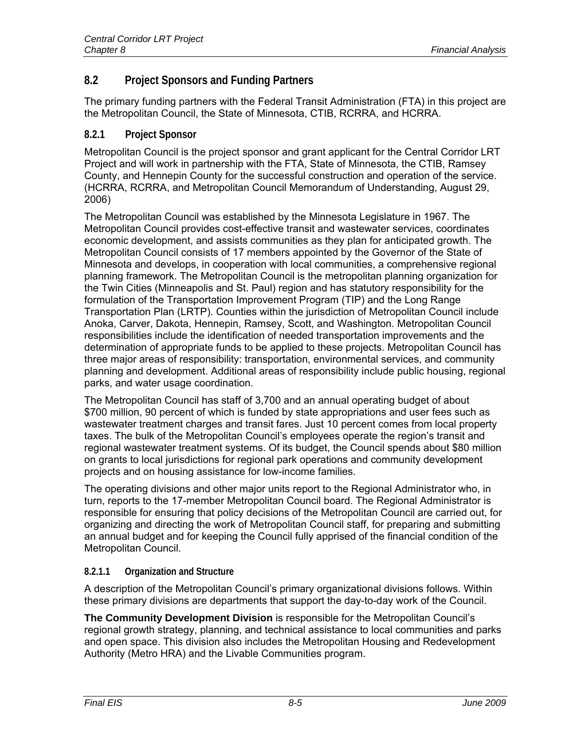## **8.2 Project Sponsors and Funding Partners**

The primary funding partners with the Federal Transit Administration (FTA) in this project are the Metropolitan Council, the State of Minnesota, CTIB, RCRRA, and HCRRA.

## **8.2.1 Project Sponsor**

Metropolitan Council is the project sponsor and grant applicant for the Central Corridor LRT Project and will work in partnership with the FTA, State of Minnesota, the CTIB, Ramsey County, and Hennepin County for the successful construction and operation of the service. (HCRRA, RCRRA, and Metropolitan Council Memorandum of Understanding, August 29, 2006)

The Metropolitan Council was established by the Minnesota Legislature in 1967. The Metropolitan Council provides cost-effective transit and wastewater services, coordinates economic development, and assists communities as they plan for anticipated growth. The Metropolitan Council consists of 17 members appointed by the Governor of the State of Minnesota and develops, in cooperation with local communities, a comprehensive regional planning framework. The Metropolitan Council is the metropolitan planning organization for the Twin Cities (Minneapolis and St. Paul) region and has statutory responsibility for the formulation of the Transportation Improvement Program (TIP) and the Long Range Transportation Plan (LRTP). Counties within the jurisdiction of Metropolitan Council include Anoka, Carver, Dakota, Hennepin, Ramsey, Scott, and Washington. Metropolitan Council responsibilities include the identification of needed transportation improvements and the determination of appropriate funds to be applied to these projects. Metropolitan Council has three major areas of responsibility: transportation, environmental services, and community planning and development. Additional areas of responsibility include public housing, regional parks, and water usage coordination.

The Metropolitan Council has staff of 3,700 and an annual operating budget of about \$700 million, 90 percent of which is funded by state appropriations and user fees such as wastewater treatment charges and transit fares. Just 10 percent comes from local property taxes. The bulk of the Metropolitan Council's employees operate the region's transit and regional wastewater treatment systems. Of its budget, the Council spends about \$80 million on grants to local jurisdictions for regional park operations and community development projects and on housing assistance for low-income families.

The operating divisions and other major units report to the Regional Administrator who, in turn, reports to the 17-member Metropolitan Council board. The Regional Administrator is responsible for ensuring that policy decisions of the Metropolitan Council are carried out, for organizing and directing the work of Metropolitan Council staff, for preparing and submitting an annual budget and for keeping the Council fully apprised of the financial condition of the Metropolitan Council.

## **8.2.1.1 Organization and Structure**

A description of the Metropolitan Council's primary organizational divisions follows. Within these primary divisions are departments that support the day-to-day work of the Council.

**The Community Development Division** is responsible for the Metropolitan Council's regional growth strategy, planning, and technical assistance to local communities and parks and open space. This division also includes the Metropolitan Housing and Redevelopment Authority (Metro HRA) and the Livable Communities program.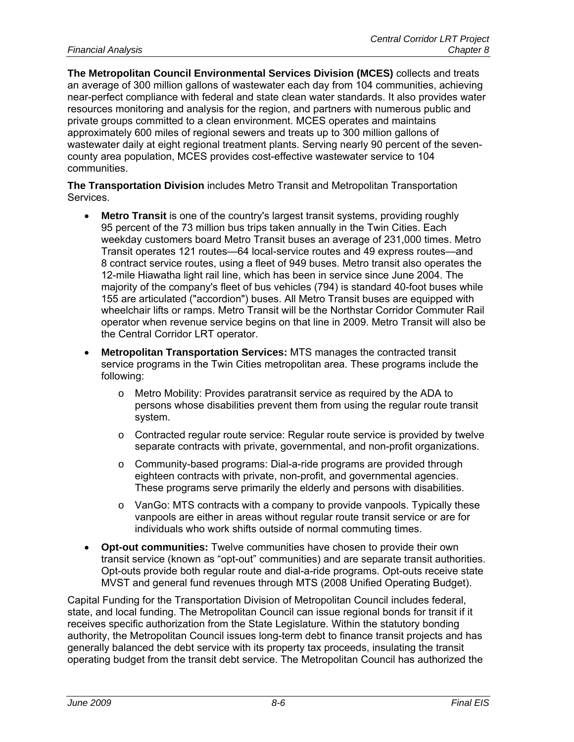**The Metropolitan Council Environmental Services Division (MCES)** collects and treats an average of 300 million gallons of wastewater each day from 104 communities, achieving near-perfect compliance with federal and state clean water standards. It also provides water resources monitoring and analysis for the region, and partners with numerous public and private groups committed to a clean environment. MCES operates and maintains approximately 600 miles of regional sewers and treats up to 300 million gallons of wastewater daily at eight regional treatment plants. Serving nearly 90 percent of the sevencounty area population, MCES provides cost-effective wastewater service to 104 communities.

**The Transportation Division** includes Metro Transit and Metropolitan Transportation Services.

- **Metro Transit** is one of the country's largest transit systems, providing roughly 95 percent of the 73 million bus trips taken annually in the Twin Cities. Each weekday customers board Metro Transit buses an average of 231,000 times. Metro Transit operates 121 routes—64 local-service routes and 49 express routes—and 8 contract service routes, using a fleet of 949 buses. Metro transit also operates the 12-mile Hiawatha light rail line, which has been in service since June 2004. The majority of the company's fleet of bus vehicles (794) is standard 40-foot buses while 155 are articulated ("accordion") buses. All Metro Transit buses are equipped with wheelchair lifts or ramps. Metro Transit will be the Northstar Corridor Commuter Rail operator when revenue service begins on that line in 2009. Metro Transit will also be the Central Corridor LRT operator.
- **Metropolitan Transportation Services:** MTS manages the contracted transit service programs in the Twin Cities metropolitan area. These programs include the following:
	- o Metro Mobility: Provides paratransit service as required by the ADA to persons whose disabilities prevent them from using the regular route transit system.
	- o Contracted regular route service: Regular route service is provided by twelve separate contracts with private, governmental, and non-profit organizations.
	- o Community-based programs: Dial-a-ride programs are provided through eighteen contracts with private, non-profit, and governmental agencies. These programs serve primarily the elderly and persons with disabilities.
	- o VanGo: MTS contracts with a company to provide vanpools. Typically these vanpools are either in areas without regular route transit service or are for individuals who work shifts outside of normal commuting times.
- **Opt-out communities:** Twelve communities have chosen to provide their own transit service (known as "opt-out" communities) and are separate transit authorities. Opt-outs provide both regular route and dial-a-ride programs. Opt-outs receive state MVST and general fund revenues through MTS (2008 Unified Operating Budget).

Capital Funding for the Transportation Division of Metropolitan Council includes federal, state, and local funding. The Metropolitan Council can issue regional bonds for transit if it receives specific authorization from the State Legislature. Within the statutory bonding authority, the Metropolitan Council issues long-term debt to finance transit projects and has generally balanced the debt service with its property tax proceeds, insulating the transit operating budget from the transit debt service. The Metropolitan Council has authorized the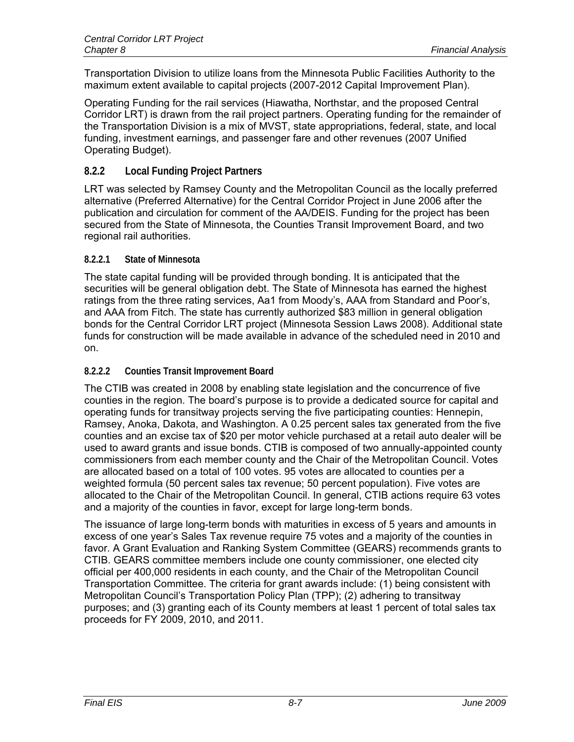Transportation Division to utilize loans from the Minnesota Public Facilities Authority to the maximum extent available to capital projects (2007-2012 Capital Improvement Plan).

Operating Funding for the rail services (Hiawatha, Northstar, and the proposed Central Corridor LRT) is drawn from the rail project partners. Operating funding for the remainder of the Transportation Division is a mix of MVST, state appropriations, federal, state, and local funding, investment earnings, and passenger fare and other revenues (2007 Unified Operating Budget).

## **8.2.2 Local Funding Project Partners**

LRT was selected by Ramsey County and the Metropolitan Council as the locally preferred alternative (Preferred Alternative) for the Central Corridor Project in June 2006 after the publication and circulation for comment of the AA/DEIS. Funding for the project has been secured from the State of Minnesota, the Counties Transit Improvement Board, and two regional rail authorities.

#### **8.2.2.1 State of Minnesota**

The state capital funding will be provided through bonding. It is anticipated that the securities will be general obligation debt. The State of Minnesota has earned the highest ratings from the three rating services, Aa1 from Moody's, AAA from Standard and Poor's, and AAA from Fitch. The state has currently authorized \$83 million in general obligation bonds for the Central Corridor LRT project (Minnesota Session Laws 2008). Additional state funds for construction will be made available in advance of the scheduled need in 2010 and on.

#### **8.2.2.2 Counties Transit Improvement Board**

The CTIB was created in 2008 by enabling state legislation and the concurrence of five counties in the region. The board's purpose is to provide a dedicated source for capital and operating funds for transitway projects serving the five participating counties: Hennepin, Ramsey, Anoka, Dakota, and Washington. A 0.25 percent sales tax generated from the five counties and an excise tax of \$20 per motor vehicle purchased at a retail auto dealer will be used to award grants and issue bonds. CTIB is composed of two annually-appointed county commissioners from each member county and the Chair of the Metropolitan Council. Votes are allocated based on a total of 100 votes. 95 votes are allocated to counties per a weighted formula (50 percent sales tax revenue; 50 percent population). Five votes are allocated to the Chair of the Metropolitan Council. In general, CTIB actions require 63 votes and a majority of the counties in favor, except for large long-term bonds.

The issuance of large long-term bonds with maturities in excess of 5 years and amounts in excess of one year's Sales Tax revenue require 75 votes and a majority of the counties in favor. A Grant Evaluation and Ranking System Committee (GEARS) recommends grants to CTIB. GEARS committee members include one county commissioner, one elected city official per 400,000 residents in each county, and the Chair of the Metropolitan Council Transportation Committee. The criteria for grant awards include: (1) being consistent with Metropolitan Council's Transportation Policy Plan (TPP); (2) adhering to transitway purposes; and (3) granting each of its County members at least 1 percent of total sales tax proceeds for FY 2009, 2010, and 2011.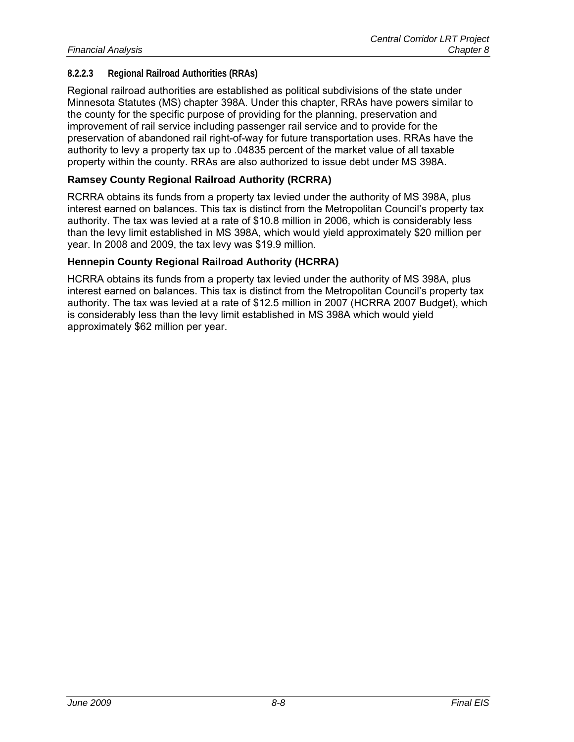#### **8.2.2.3 Regional Railroad Authorities (RRAs)**

Regional railroad authorities are established as political subdivisions of the state under Minnesota Statutes (MS) chapter 398A. Under this chapter, RRAs have powers similar to the county for the specific purpose of providing for the planning, preservation and improvement of rail service including passenger rail service and to provide for the preservation of abandoned rail right-of-way for future transportation uses. RRAs have the authority to levy a property tax up to .04835 percent of the market value of all taxable property within the county. RRAs are also authorized to issue debt under MS 398A.

#### **Ramsey County Regional Railroad Authority (RCRRA)**

RCRRA obtains its funds from a property tax levied under the authority of MS 398A, plus interest earned on balances. This tax is distinct from the Metropolitan Council's property tax authority. The tax was levied at a rate of \$10.8 million in 2006, which is considerably less than the levy limit established in MS 398A, which would yield approximately \$20 million per year. In 2008 and 2009, the tax levy was \$19.9 million.

#### **Hennepin County Regional Railroad Authority (HCRRA)**

HCRRA obtains its funds from a property tax levied under the authority of MS 398A, plus interest earned on balances. This tax is distinct from the Metropolitan Council's property tax authority. The tax was levied at a rate of \$12.5 million in 2007 (HCRRA 2007 Budget), which is considerably less than the levy limit established in MS 398A which would yield approximately \$62 million per year.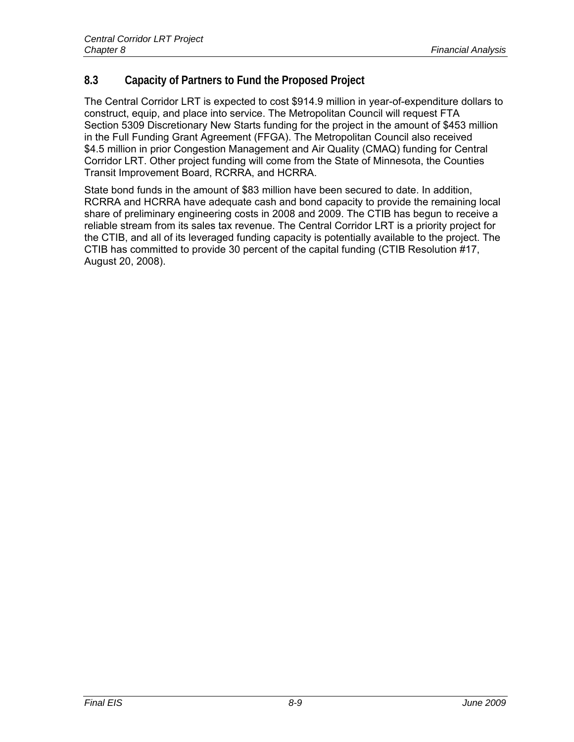## **8.3 Capacity of Partners to Fund the Proposed Project**

The Central Corridor LRT is expected to cost \$914.9 million in year-of-expenditure dollars to construct, equip, and place into service. The Metropolitan Council will request FTA Section 5309 Discretionary New Starts funding for the project in the amount of \$453 million in the Full Funding Grant Agreement (FFGA). The Metropolitan Council also received \$4.5 million in prior Congestion Management and Air Quality (CMAQ) funding for Central Corridor LRT. Other project funding will come from the State of Minnesota, the Counties Transit Improvement Board, RCRRA, and HCRRA.

State bond funds in the amount of \$83 million have been secured to date. In addition, RCRRA and HCRRA have adequate cash and bond capacity to provide the remaining local share of preliminary engineering costs in 2008 and 2009. The CTIB has begun to receive a reliable stream from its sales tax revenue. The Central Corridor LRT is a priority project for the CTIB, and all of its leveraged funding capacity is potentially available to the project. The CTIB has committed to provide 30 percent of the capital funding (CTIB Resolution #17, August 20, 2008).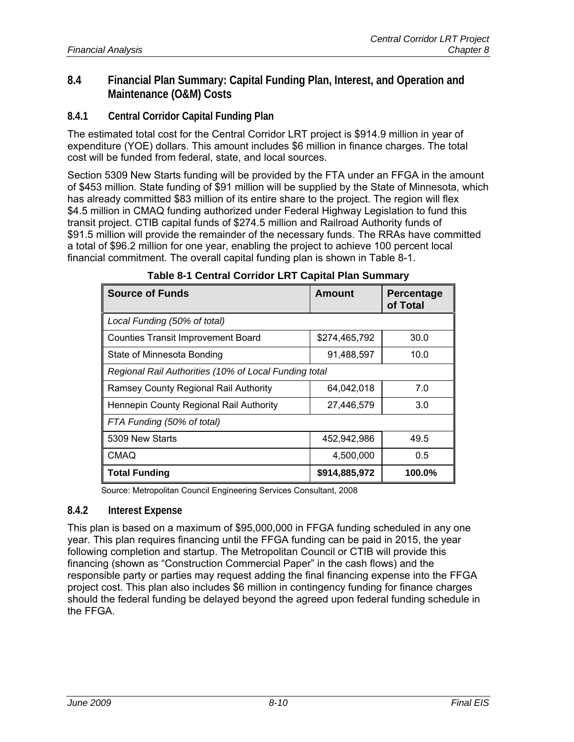## **8.4 Financial Plan Summary: Capital Funding Plan, Interest, and Operation and Maintenance (O&M) Costs**

**8.4.1 Central Corridor Capital Funding Plan** 

The estimated total cost for the Central Corridor LRT project is \$914.9 million in year of expenditure (YOE) dollars. This amount includes \$6 million in finance charges. The total cost will be funded from federal, state, and local sources.

Section 5309 New Starts funding will be provided by the FTA under an FFGA in the amount of \$453 million. State funding of \$91 million will be supplied by the State of Minnesota, which has already committed \$83 million of its entire share to the project. The region will flex \$4.5 million in CMAQ funding authorized under Federal Highway Legislation to fund this transit project. CTIB capital funds of \$274.5 million and Railroad Authority funds of \$91.5 million will provide the remainder of the necessary funds. The RRAs have committed a total of \$96.2 million for one year, enabling the project to achieve 100 percent local financial commitment. The overall capital funding plan is shown in Table 8-1.

| <b>Source of Funds</b>                                | Amount        | <b>Percentage</b><br>of Total |  |  |  |  |
|-------------------------------------------------------|---------------|-------------------------------|--|--|--|--|
| Local Funding (50% of total)                          |               |                               |  |  |  |  |
| <b>Counties Transit Improvement Board</b>             | \$274,465,792 | 30.0                          |  |  |  |  |
| State of Minnesota Bonding                            | 91,488,597    | 10.0                          |  |  |  |  |
| Regional Rail Authorities (10% of Local Funding total |               |                               |  |  |  |  |
| Ramsey County Regional Rail Authority                 | 64,042,018    | 7.0                           |  |  |  |  |
| Hennepin County Regional Rail Authority               | 27,446,579    | 3.0                           |  |  |  |  |
| FTA Funding (50% of total)                            |               |                               |  |  |  |  |
| 5309 New Starts                                       | 452,942,986   | 49.5                          |  |  |  |  |
| <b>CMAQ</b>                                           | 4,500,000     | 0.5                           |  |  |  |  |
| <b>Total Funding</b>                                  | \$914,885,972 | 100.0%                        |  |  |  |  |

#### **Table 8-1 Central Corridor LRT Capital Plan Summary**

Source: Metropolitan Council Engineering Services Consultant, 2008

#### **8.4.2 Interest Expense**

This plan is based on a maximum of \$95,000,000 in FFGA funding scheduled in any one year. This plan requires financing until the FFGA funding can be paid in 2015, the year following completion and startup. The Metropolitan Council or CTIB will provide this financing (shown as "Construction Commercial Paper" in the cash flows) and the responsible party or parties may request adding the final financing expense into the FFGA project cost. This plan also includes \$6 million in contingency funding for finance charges should the federal funding be delayed beyond the agreed upon federal funding schedule in the FFGA.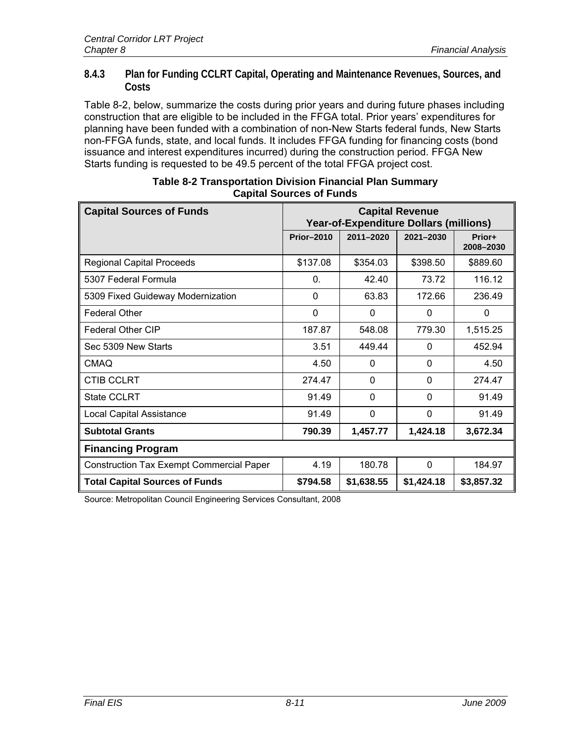#### **8.4.3 Plan for Funding CCLRT Capital, Operating and Maintenance Revenues, Sources, and Costs**

Table 8-2, below, summarize the costs during prior years and during future phases including construction that are eligible to be included in the FFGA total. Prior years' expenditures for planning have been funded with a combination of non-New Starts federal funds, New Starts non-FFGA funds, state, and local funds. It includes FFGA funding for financing costs (bond issuance and interest expenditures incurred) during the construction period. FFGA New Starts funding is requested to be 49.5 percent of the total FFGA project cost.

| <b>Capital Sources of Funds</b>                 | <b>Capital Revenue</b><br><b>Year-of-Expenditure Dollars (millions)</b> |            |            |                     |
|-------------------------------------------------|-------------------------------------------------------------------------|------------|------------|---------------------|
|                                                 | <b>Prior-2010</b>                                                       | 2011-2020  | 2021-2030  | Prior+<br>2008-2030 |
| <b>Regional Capital Proceeds</b>                | \$137.08                                                                | \$354.03   | \$398.50   | \$889.60            |
| 5307 Federal Formula                            | $\mathbf{0}$                                                            | 42.40      | 73.72      | 116.12              |
| 5309 Fixed Guideway Modernization               | $\mathbf 0$                                                             | 63.83      | 172.66     | 236.49              |
| <b>Federal Other</b>                            | $\mathbf 0$                                                             | $\Omega$   | $\Omega$   | $\Omega$            |
| <b>Federal Other CIP</b>                        | 187.87                                                                  | 548.08     | 779.30     | 1,515.25            |
| Sec 5309 New Starts                             | 3.51                                                                    | 449.44     | 0          | 452.94              |
| <b>CMAQ</b>                                     | 4.50                                                                    | 0          | 0          | 4.50                |
| <b>CTIB CCLRT</b>                               | 274.47                                                                  | $\Omega$   | 0          | 274.47              |
| <b>State CCLRT</b>                              | 91.49                                                                   | $\Omega$   | 0          | 91.49               |
| <b>Local Capital Assistance</b>                 | 91.49                                                                   | $\Omega$   | $\Omega$   | 91.49               |
| <b>Subtotal Grants</b>                          | 790.39                                                                  | 1,457.77   | 1,424.18   | 3,672.34            |
| <b>Financing Program</b>                        |                                                                         |            |            |                     |
| <b>Construction Tax Exempt Commercial Paper</b> | 4.19                                                                    | 180.78     | 0          | 184.97              |
| <b>Total Capital Sources of Funds</b>           | \$794.58                                                                | \$1,638.55 | \$1,424.18 | \$3,857.32          |

| Table 8-2 Transportation Division Financial Plan Summary |  |
|----------------------------------------------------------|--|
| <b>Capital Sources of Funds</b>                          |  |

Source: Metropolitan Council Engineering Services Consultant, 2008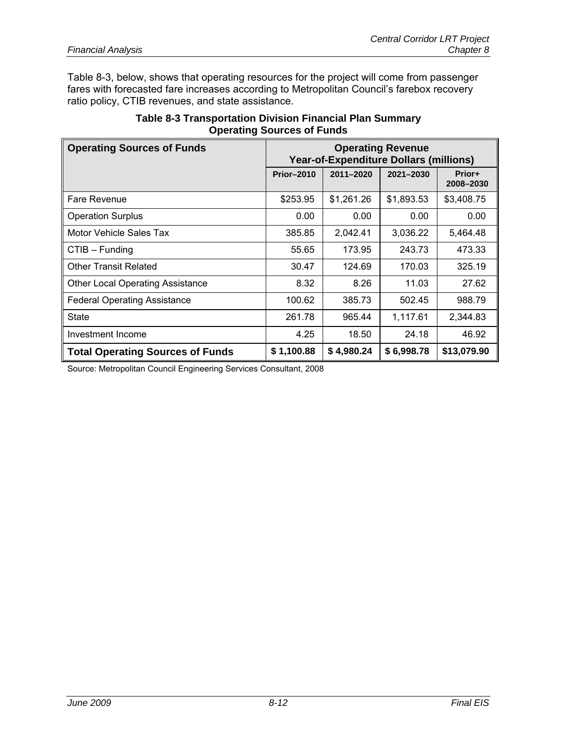Table 8-3, below, shows that operating resources for the project will come from passenger fares with forecasted fare increases according to Metropolitan Council's farebox recovery ratio policy, CTIB revenues, and state assistance.

| <b>Table 8-3 Transportation Division Financial Plan Summary</b> |
|-----------------------------------------------------------------|
| <b>Operating Sources of Funds</b>                               |

| <b>Operating Sources of Funds</b>       | <b>Operating Revenue</b><br><b>Year-of-Expenditure Dollars (millions)</b> |            |            |                     |
|-----------------------------------------|---------------------------------------------------------------------------|------------|------------|---------------------|
|                                         | <b>Prior-2010</b>                                                         | 2011-2020  | 2021-2030  | Prior+<br>2008-2030 |
| Fare Revenue                            | \$253.95                                                                  | \$1,261.26 | \$1,893.53 | \$3,408.75          |
| <b>Operation Surplus</b>                | 0.00                                                                      | 0.00       | 0.00       | 0.00                |
| Motor Vehicle Sales Tax                 | 385.85                                                                    | 2,042.41   | 3,036.22   | 5,464.48            |
| $CTIB - Funding$                        | 55.65                                                                     | 173.95     | 243.73     | 473.33              |
| <b>Other Transit Related</b>            | 30.47                                                                     | 124.69     | 170.03     | 325.19              |
| <b>Other Local Operating Assistance</b> | 8.32                                                                      | 8.26       | 11.03      | 27.62               |
| <b>Federal Operating Assistance</b>     | 100.62                                                                    | 385.73     | 502.45     | 988.79              |
| <b>State</b>                            | 261.78                                                                    | 965.44     | 1,117.61   | 2,344.83            |
| Investment Income                       | 4.25                                                                      | 18.50      | 24.18      | 46.92               |
| <b>Total Operating Sources of Funds</b> | \$1,100.88                                                                | \$4,980.24 | \$6,998.78 | \$13,079.90         |

Source: Metropolitan Council Engineering Services Consultant, 2008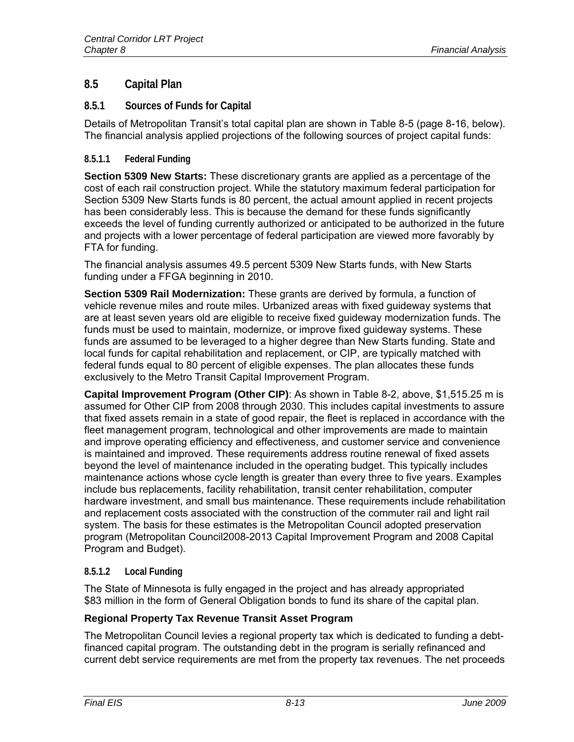## **8.5 Capital Plan**

#### **8.5.1 Sources of Funds for Capital**

Details of Metropolitan Transit's total capital plan are shown in Table 8-5 (page 8-16, below). The financial analysis applied projections of the following sources of project capital funds:

#### **8.5.1.1 Federal Funding**

**Section 5309 New Starts:** These discretionary grants are applied as a percentage of the cost of each rail construction project. While the statutory maximum federal participation for Section 5309 New Starts funds is 80 percent, the actual amount applied in recent projects has been considerably less. This is because the demand for these funds significantly exceeds the level of funding currently authorized or anticipated to be authorized in the future and projects with a lower percentage of federal participation are viewed more favorably by FTA for funding.

The financial analysis assumes 49.5 percent 5309 New Starts funds, with New Starts funding under a FFGA beginning in 2010.

**Section 5309 Rail Modernization:** These grants are derived by formula, a function of vehicle revenue miles and route miles. Urbanized areas with fixed guideway systems that are at least seven years old are eligible to receive fixed guideway modernization funds. The funds must be used to maintain, modernize, or improve fixed guideway systems. These funds are assumed to be leveraged to a higher degree than New Starts funding. State and local funds for capital rehabilitation and replacement, or CIP, are typically matched with federal funds equal to 80 percent of eligible expenses. The plan allocates these funds exclusively to the Metro Transit Capital Improvement Program.

**Capital Improvement Program (Other CIP)**: As shown in Table 8-2, above, \$1,515.25 m is assumed for Other CIP from 2008 through 2030. This includes capital investments to assure that fixed assets remain in a state of good repair, the fleet is replaced in accordance with the fleet management program, technological and other improvements are made to maintain and improve operating efficiency and effectiveness, and customer service and convenience is maintained and improved. These requirements address routine renewal of fixed assets beyond the level of maintenance included in the operating budget. This typically includes maintenance actions whose cycle length is greater than every three to five years. Examples include bus replacements, facility rehabilitation, transit center rehabilitation, computer hardware investment, and small bus maintenance. These requirements include rehabilitation and replacement costs associated with the construction of the commuter rail and light rail system. The basis for these estimates is the Metropolitan Council adopted preservation program (Metropolitan Council2008-2013 Capital Improvement Program and 2008 Capital Program and Budget).

## **8.5.1.2 Local Funding**

The State of Minnesota is fully engaged in the project and has already appropriated \$83 million in the form of General Obligation bonds to fund its share of the capital plan.

## **Regional Property Tax Revenue Transit Asset Program**

The Metropolitan Council levies a regional property tax which is dedicated to funding a debtfinanced capital program. The outstanding debt in the program is serially refinanced and current debt service requirements are met from the property tax revenues. The net proceeds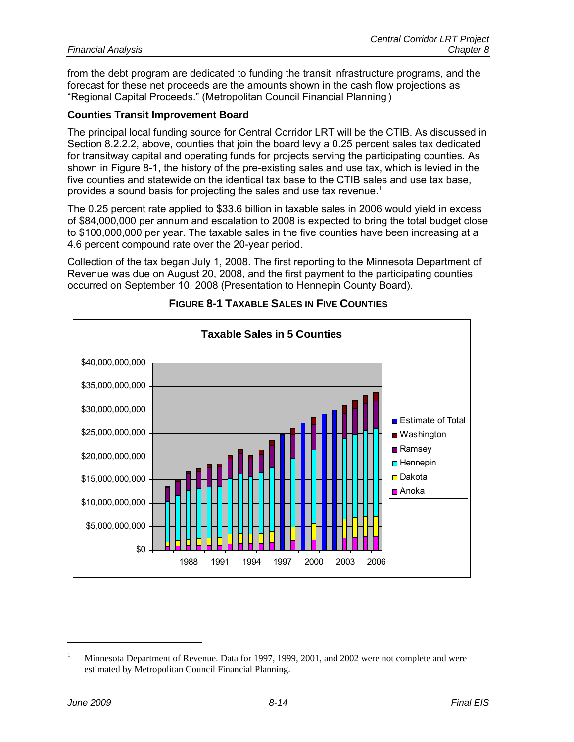from the debt program are dedicated to funding the transit infrastructure programs, and the forecast for these net proceeds are the amounts shown in the cash flow projections as "Regional Capital Proceeds." (Metropolitan Council Financial Planning )

#### **Counties Transit Improvement Board**

The principal local funding source for Central Corridor LRT will be the CTIB. As discussed in Section 8.2.2.2, above, counties that join the board levy a 0.25 percent sales tax dedicated for transitway capital and operating funds for projects serving the participating counties. As shown in Figure 8-1, the history of the pre-existing sales and use tax, which is levied in the five counties and statewide on the identical tax base to the CTIB sales and use tax base, provides a sound basis for projecting the sales and use tax revenue.<sup>1</sup>

The 0.25 percent rate applied to \$33.6 billion in taxable sales in 2006 would yield in excess of \$84,000,000 per annum and escalation to 2008 is expected to bring the total budget close to \$100,000,000 per year. The taxable sales in the five counties have been increasing at a 4.6 percent compound rate over the 20-year period.

Collection of the tax began July 1, 2008. The first reporting to the Minnesota Department of Revenue was due on August 20, 2008, and the first payment to the participating counties occurred on September 10, 2008 (Presentation to Hennepin County Board).



## **FIGURE 8-1 TAXABLE SALES IN FIVE COUNTIES**

 $\overline{a}$ 

<sup>1</sup> Minnesota Department of Revenue. Data for 1997, 1999, 2001, and 2002 were not complete and were estimated by Metropolitan Council Financial Planning.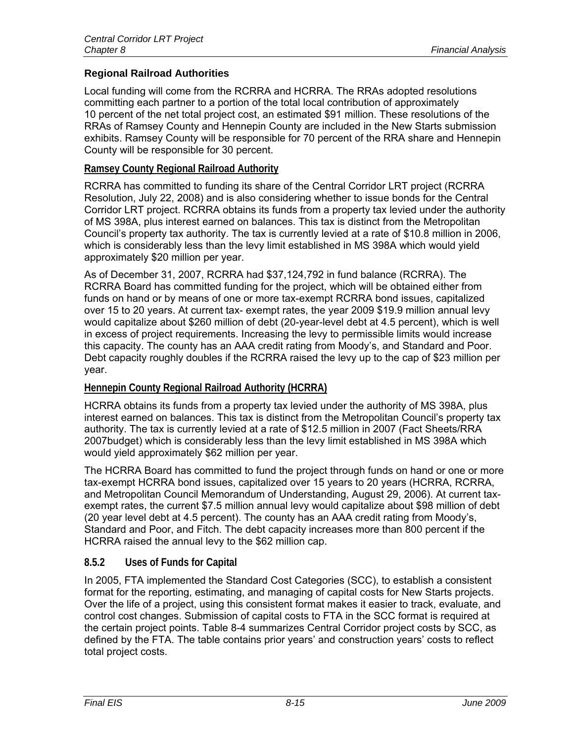## **Regional Railroad Authorities**

Local funding will come from the RCRRA and HCRRA. The RRAs adopted resolutions committing each partner to a portion of the total local contribution of approximately 10 percent of the net total project cost, an estimated \$91 million. These resolutions of the RRAs of Ramsey County and Hennepin County are included in the New Starts submission exhibits. Ramsey County will be responsible for 70 percent of the RRA share and Hennepin County will be responsible for 30 percent.

## **Ramsey County Regional Railroad Authority**

RCRRA has committed to funding its share of the Central Corridor LRT project (RCRRA Resolution, July 22, 2008) and is also considering whether to issue bonds for the Central Corridor LRT project. RCRRA obtains its funds from a property tax levied under the authority of MS 398A, plus interest earned on balances. This tax is distinct from the Metropolitan Council's property tax authority. The tax is currently levied at a rate of \$10.8 million in 2006, which is considerably less than the levy limit established in MS 398A which would yield approximately \$20 million per year.

As of December 31, 2007, RCRRA had \$37,124,792 in fund balance (RCRRA). The RCRRA Board has committed funding for the project, which will be obtained either from funds on hand or by means of one or more tax-exempt RCRRA bond issues, capitalized over 15 to 20 years. At current tax- exempt rates, the year 2009 \$19.9 million annual levy would capitalize about \$260 million of debt (20-year-level debt at 4.5 percent), which is well in excess of project requirements. Increasing the levy to permissible limits would increase this capacity. The county has an AAA credit rating from Moody's, and Standard and Poor. Debt capacity roughly doubles if the RCRRA raised the levy up to the cap of \$23 million per year.

## **Hennepin County Regional Railroad Authority (HCRRA)**

HCRRA obtains its funds from a property tax levied under the authority of MS 398A, plus interest earned on balances. This tax is distinct from the Metropolitan Council's property tax authority. The tax is currently levied at a rate of \$12.5 million in 2007 (Fact Sheets/RRA 2007budget) which is considerably less than the levy limit established in MS 398A which would yield approximately \$62 million per year.

The HCRRA Board has committed to fund the project through funds on hand or one or more tax-exempt HCRRA bond issues, capitalized over 15 years to 20 years (HCRRA, RCRRA, and Metropolitan Council Memorandum of Understanding, August 29, 2006). At current taxexempt rates, the current \$7.5 million annual levy would capitalize about \$98 million of debt (20 year level debt at 4.5 percent). The county has an AAA credit rating from Moody's, Standard and Poor, and Fitch. The debt capacity increases more than 800 percent if the HCRRA raised the annual levy to the \$62 million cap.

## **8.5.2 Uses of Funds for Capital**

In 2005, FTA implemented the Standard Cost Categories (SCC), to establish a consistent format for the reporting, estimating, and managing of capital costs for New Starts projects. Over the life of a project, using this consistent format makes it easier to track, evaluate, and control cost changes. Submission of capital costs to FTA in the SCC format is required at the certain project points. Table 8-4 summarizes Central Corridor project costs by SCC, as defined by the FTA. The table contains prior years' and construction years' costs to reflect total project costs.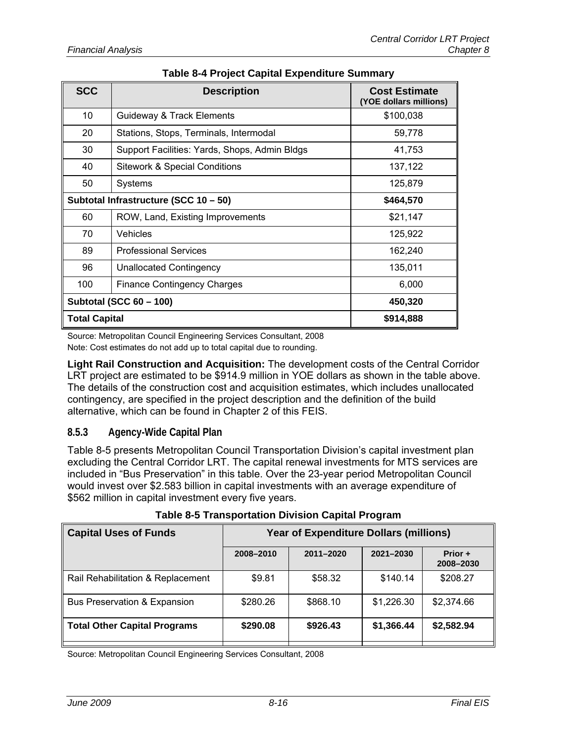| <b>SCC</b>           | <b>Description</b>                            | <b>Cost Estimate</b><br>(YOE dollars millions) |
|----------------------|-----------------------------------------------|------------------------------------------------|
| 10                   | Guideway & Track Elements                     | \$100,038                                      |
| 20                   | Stations, Stops, Terminals, Intermodal        | 59,778                                         |
| 30                   | Support Facilities: Yards, Shops, Admin Bldgs | 41,753                                         |
| 40                   | <b>Sitework &amp; Special Conditions</b>      | 137,122                                        |
| 50                   | Systems                                       | 125,879                                        |
|                      | Subtotal Infrastructure (SCC 10 - 50)         | \$464,570                                      |
| 60                   | ROW, Land, Existing Improvements              | \$21,147                                       |
| 70                   | Vehicles                                      | 125,922                                        |
| 89                   | <b>Professional Services</b>                  | 162,240                                        |
| 96                   | <b>Unallocated Contingency</b>                | 135,011                                        |
| 100                  | <b>Finance Contingency Charges</b>            | 6,000                                          |
|                      | <b>Subtotal (SCC 60 - 100)</b>                | 450,320                                        |
| <b>Total Capital</b> |                                               | \$914,888                                      |

## **Table 8-4 Project Capital Expenditure Summary**

Source: Metropolitan Council Engineering Services Consultant, 2008

Note: Cost estimates do not add up to total capital due to rounding.

**Light Rail Construction and Acquisition:** The development costs of the Central Corridor LRT project are estimated to be \$914.9 million in YOE dollars as shown in the table above. The details of the construction cost and acquisition estimates, which includes unallocated contingency, are specified in the project description and the definition of the build alternative, which can be found in Chapter 2 of this FEIS.

## **8.5.3 Agency-Wide Capital Plan**

Table 8-5 presents Metropolitan Council Transportation Division's capital investment plan excluding the Central Corridor LRT. The capital renewal investments for MTS services are included in "Bus Preservation" in this table. Over the 23-year period Metropolitan Council would invest over \$2.583 billion in capital investments with an average expenditure of \$562 million in capital investment every five years.

| <b>Capital Uses of Funds</b>        | <b>Year of Expenditure Dollars (millions)</b> |           |            |                      |  |
|-------------------------------------|-----------------------------------------------|-----------|------------|----------------------|--|
|                                     | 2008-2010                                     | 2011-2020 | 2021-2030  | Prior +<br>2008-2030 |  |
| Rail Rehabilitation & Replacement   | \$9.81                                        | \$58.32   | \$140.14   | \$208.27             |  |
| Bus Preservation & Expansion        | \$280.26                                      | \$868.10  | \$1,226.30 | \$2,374.66           |  |
| <b>Total Other Capital Programs</b> | \$290.08                                      | \$926.43  | \$1,366.44 | \$2,582.94           |  |

**Table 8-5 Transportation Division Capital Program** 

Source: Metropolitan Council Engineering Services Consultant, 2008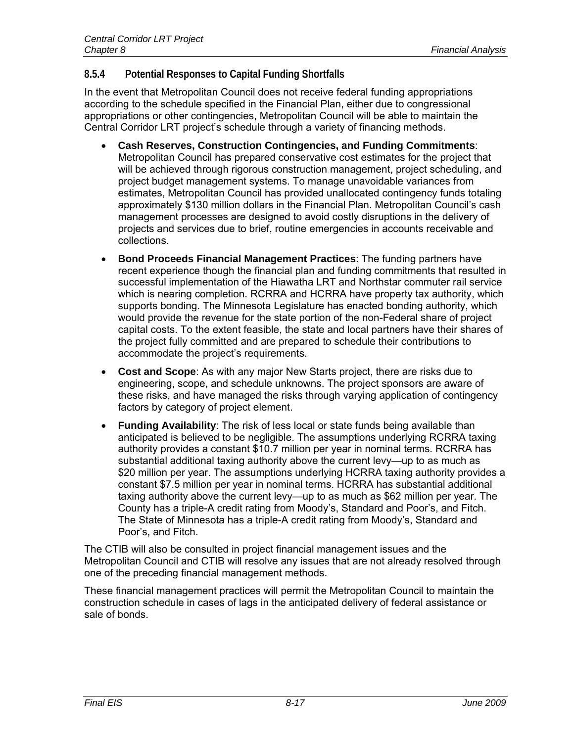## **8.5.4 Potential Responses to Capital Funding Shortfalls**

In the event that Metropolitan Council does not receive federal funding appropriations according to the schedule specified in the Financial Plan, either due to congressional appropriations or other contingencies, Metropolitan Council will be able to maintain the Central Corridor LRT project's schedule through a variety of financing methods.

- **Cash Reserves, Construction Contingencies, and Funding Commitments**: Metropolitan Council has prepared conservative cost estimates for the project that will be achieved through rigorous construction management, project scheduling, and project budget management systems. To manage unavoidable variances from estimates, Metropolitan Council has provided unallocated contingency funds totaling approximately \$130 million dollars in the Financial Plan. Metropolitan Council's cash management processes are designed to avoid costly disruptions in the delivery of projects and services due to brief, routine emergencies in accounts receivable and collections.
- **Bond Proceeds Financial Management Practices**: The funding partners have recent experience though the financial plan and funding commitments that resulted in successful implementation of the Hiawatha LRT and Northstar commuter rail service which is nearing completion. RCRRA and HCRRA have property tax authority, which supports bonding. The Minnesota Legislature has enacted bonding authority, which would provide the revenue for the state portion of the non-Federal share of project capital costs. To the extent feasible, the state and local partners have their shares of the project fully committed and are prepared to schedule their contributions to accommodate the project's requirements.
- **Cost and Scope**: As with any major New Starts project, there are risks due to engineering, scope, and schedule unknowns. The project sponsors are aware of these risks, and have managed the risks through varying application of contingency factors by category of project element.
- **Funding Availability**: The risk of less local or state funds being available than anticipated is believed to be negligible. The assumptions underlying RCRRA taxing authority provides a constant \$10.7 million per year in nominal terms. RCRRA has substantial additional taxing authority above the current levy—up to as much as \$20 million per year. The assumptions underlying HCRRA taxing authority provides a constant \$7.5 million per year in nominal terms. HCRRA has substantial additional taxing authority above the current levy—up to as much as \$62 million per year. The County has a triple-A credit rating from Moody's, Standard and Poor's, and Fitch. The State of Minnesota has a triple-A credit rating from Moody's, Standard and Poor's, and Fitch.

The CTIB will also be consulted in project financial management issues and the Metropolitan Council and CTIB will resolve any issues that are not already resolved through one of the preceding financial management methods.

These financial management practices will permit the Metropolitan Council to maintain the construction schedule in cases of lags in the anticipated delivery of federal assistance or sale of bonds.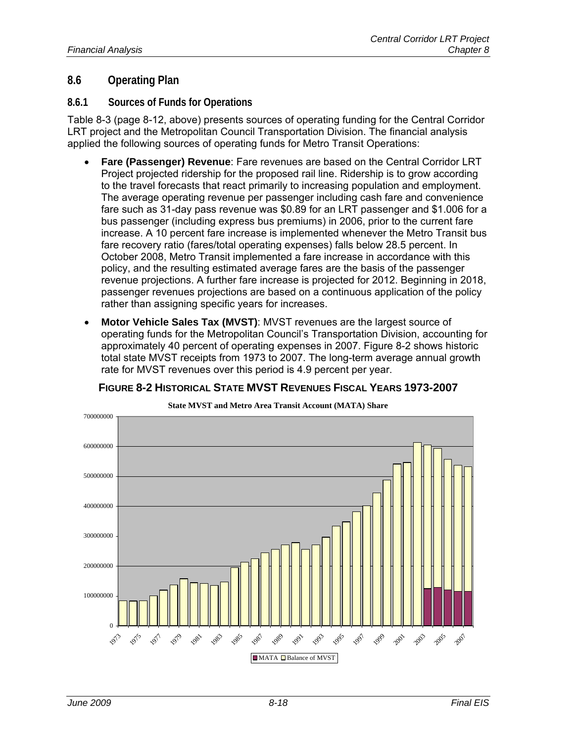## **8.6 Operating Plan**

#### **8.6.1 Sources of Funds for Operations**

Table 8-3 (page 8-12, above) presents sources of operating funding for the Central Corridor LRT project and the Metropolitan Council Transportation Division. The financial analysis applied the following sources of operating funds for Metro Transit Operations:

- **Fare (Passenger) Revenue**: Fare revenues are based on the Central Corridor LRT Project projected ridership for the proposed rail line. Ridership is to grow according to the travel forecasts that react primarily to increasing population and employment. The average operating revenue per passenger including cash fare and convenience fare such as 31-day pass revenue was \$0.89 for an LRT passenger and \$1.006 for a bus passenger (including express bus premiums) in 2006, prior to the current fare increase. A 10 percent fare increase is implemented whenever the Metro Transit bus fare recovery ratio (fares/total operating expenses) falls below 28.5 percent. In October 2008, Metro Transit implemented a fare increase in accordance with this policy, and the resulting estimated average fares are the basis of the passenger revenue projections. A further fare increase is projected for 2012. Beginning in 2018, passenger revenues projections are based on a continuous application of the policy rather than assigning specific years for increases.
- **Motor Vehicle Sales Tax (MVST)**: MVST revenues are the largest source of operating funds for the Metropolitan Council's Transportation Division, accounting for approximately 40 percent of operating expenses in 2007. Figure 8-2 shows historic total state MVST receipts from 1973 to 2007. The long-term average annual growth rate for MVST revenues over this period is 4.9 percent per year.



#### **FIGURE 8-2 HISTORICAL STATE MVST REVENUES FISCAL YEARS 1973-2007**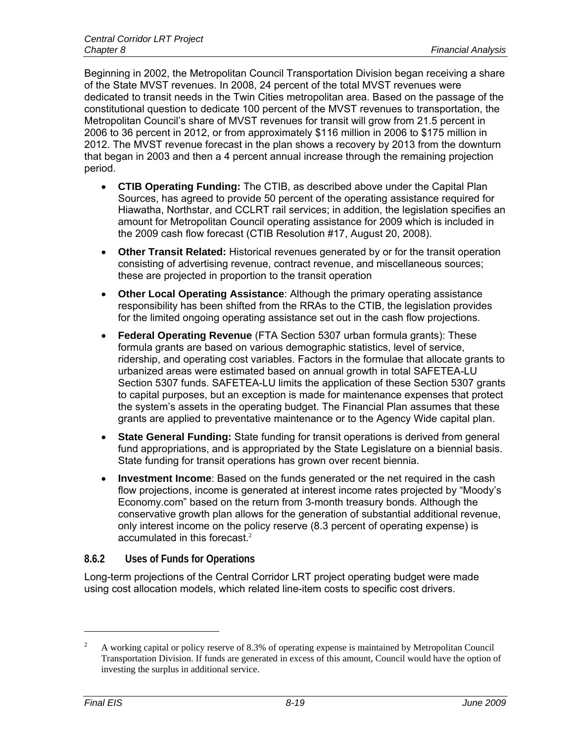Beginning in 2002, the Metropolitan Council Transportation Division began receiving a share of the State MVST revenues. In 2008, 24 percent of the total MVST revenues were dedicated to transit needs in the Twin Cities metropolitan area. Based on the passage of the constitutional question to dedicate 100 percent of the MVST revenues to transportation, the Metropolitan Council's share of MVST revenues for transit will grow from 21.5 percent in 2006 to 36 percent in 2012, or from approximately \$116 million in 2006 to \$175 million in 2012. The MVST revenue forecast in the plan shows a recovery by 2013 from the downturn that began in 2003 and then a 4 percent annual increase through the remaining projection period.

- **CTIB Operating Funding:** The CTIB, as described above under the Capital Plan Sources, has agreed to provide 50 percent of the operating assistance required for Hiawatha, Northstar, and CCLRT rail services; in addition, the legislation specifies an amount for Metropolitan Council operating assistance for 2009 which is included in the 2009 cash flow forecast (CTIB Resolution #17, August 20, 2008).
- **Other Transit Related:** Historical revenues generated by or for the transit operation consisting of advertising revenue, contract revenue, and miscellaneous sources; these are projected in proportion to the transit operation
- **Other Local Operating Assistance**: Although the primary operating assistance responsibility has been shifted from the RRAs to the CTIB, the legislation provides for the limited ongoing operating assistance set out in the cash flow projections.
- **Federal Operating Revenue** (FTA Section 5307 urban formula grants): These formula grants are based on various demographic statistics, level of service, ridership, and operating cost variables. Factors in the formulae that allocate grants to urbanized areas were estimated based on annual growth in total SAFETEA-LU Section 5307 funds. SAFETEA-LU limits the application of these Section 5307 grants to capital purposes, but an exception is made for maintenance expenses that protect the system's assets in the operating budget. The Financial Plan assumes that these grants are applied to preventative maintenance or to the Agency Wide capital plan.
- **State General Funding:** State funding for transit operations is derived from general fund appropriations, and is appropriated by the State Legislature on a biennial basis. State funding for transit operations has grown over recent biennia.
- **Investment Income**: Based on the funds generated or the net required in the cash flow projections, income is generated at interest income rates projected by "Moody's Economy.com" based on the return from 3-month treasury bonds. Although the conservative growth plan allows for the generation of substantial additional revenue, only interest income on the policy reserve (8.3 percent of operating expense) is accumulated in this forecast.<sup>2</sup>

## **8.6.2 Uses of Funds for Operations**

Long-term projections of the Central Corridor LRT project operating budget were made using cost allocation models, which related line-item costs to specific cost drivers.

 $\overline{a}$ 

<sup>2</sup> A working capital or policy reserve of 8.3% of operating expense is maintained by Metropolitan Council Transportation Division. If funds are generated in excess of this amount, Council would have the option of investing the surplus in additional service.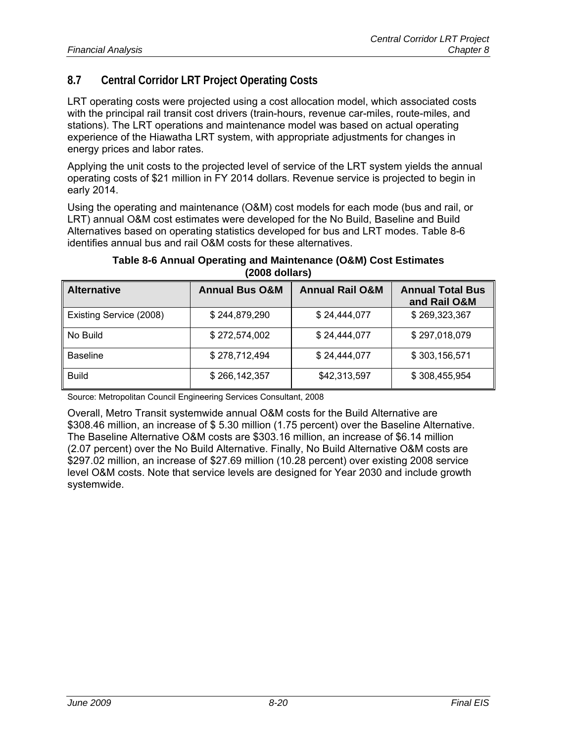## **8.7 Central Corridor LRT Project Operating Costs**

LRT operating costs were projected using a cost allocation model, which associated costs with the principal rail transit cost drivers (train-hours, revenue car-miles, route-miles, and stations). The LRT operations and maintenance model was based on actual operating experience of the Hiawatha LRT system, with appropriate adjustments for changes in energy prices and labor rates.

Applying the unit costs to the projected level of service of the LRT system yields the annual operating costs of \$21 million in FY 2014 dollars. Revenue service is projected to begin in early 2014.

Using the operating and maintenance (O&M) cost models for each mode (bus and rail, or LRT) annual O&M cost estimates were developed for the No Build, Baseline and Build Alternatives based on operating statistics developed for bus and LRT modes. Table 8-6 identifies annual bus and rail O&M costs for these alternatives.

| Table 8-6 Annual Operating and Maintenance (O&M) Cost Estimates |
|-----------------------------------------------------------------|
| $(2008$ dollars)                                                |

| <b>Alternative</b>      | <b>Annual Bus O&amp;M</b> | <b>Annual Rail O&amp;M</b> | <b>Annual Total Bus</b><br>and Rail O&M |
|-------------------------|---------------------------|----------------------------|-----------------------------------------|
| Existing Service (2008) | \$244,879,290             | \$24,444,077               | \$269,323,367                           |
| No Build                | \$272,574,002             | \$24,444,077               | \$297,018,079                           |
| <b>Baseline</b>         | \$278,712,494             | \$24,444,077               | \$303,156,571                           |
| <b>Build</b>            | \$266,142,357             | \$42,313,597               | \$308,455,954                           |

Source: Metropolitan Council Engineering Services Consultant, 2008

Overall, Metro Transit systemwide annual O&M costs for the Build Alternative are \$308.46 million, an increase of \$ 5.30 million (1.75 percent) over the Baseline Alternative. The Baseline Alternative O&M costs are \$303.16 million, an increase of \$6.14 million (2.07 percent) over the No Build Alternative. Finally, No Build Alternative O&M costs are \$297.02 million, an increase of \$27.69 million (10.28 percent) over existing 2008 service level O&M costs. Note that service levels are designed for Year 2030 and include growth systemwide.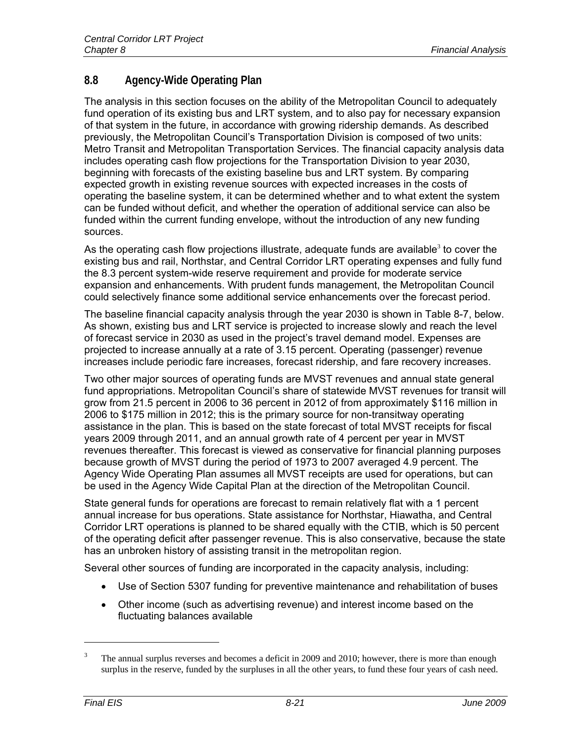## **8.8 Agency-Wide Operating Plan**

The analysis in this section focuses on the ability of the Metropolitan Council to adequately fund operation of its existing bus and LRT system, and to also pay for necessary expansion of that system in the future, in accordance with growing ridership demands. As described previously, the Metropolitan Council's Transportation Division is composed of two units: Metro Transit and Metropolitan Transportation Services. The financial capacity analysis data includes operating cash flow projections for the Transportation Division to year 2030, beginning with forecasts of the existing baseline bus and LRT system. By comparing expected growth in existing revenue sources with expected increases in the costs of operating the baseline system, it can be determined whether and to what extent the system can be funded without deficit, and whether the operation of additional service can also be funded within the current funding envelope, without the introduction of any new funding sources.

As the operating cash flow projections illustrate, adequate funds are available<sup>3</sup> to cover the existing bus and rail, Northstar, and Central Corridor LRT operating expenses and fully fund the 8.3 percent system-wide reserve requirement and provide for moderate service expansion and enhancements. With prudent funds management, the Metropolitan Council could selectively finance some additional service enhancements over the forecast period.

The baseline financial capacity analysis through the year 2030 is shown in Table 8-7, below. As shown, existing bus and LRT service is projected to increase slowly and reach the level of forecast service in 2030 as used in the project's travel demand model. Expenses are projected to increase annually at a rate of 3.15 percent. Operating (passenger) revenue increases include periodic fare increases, forecast ridership, and fare recovery increases.

Two other major sources of operating funds are MVST revenues and annual state general fund appropriations. Metropolitan Council's share of statewide MVST revenues for transit will grow from 21.5 percent in 2006 to 36 percent in 2012 of from approximately \$116 million in 2006 to \$175 million in 2012; this is the primary source for non-transitway operating assistance in the plan. This is based on the state forecast of total MVST receipts for fiscal years 2009 through 2011, and an annual growth rate of 4 percent per year in MVST revenues thereafter. This forecast is viewed as conservative for financial planning purposes because growth of MVST during the period of 1973 to 2007 averaged 4.9 percent. The Agency Wide Operating Plan assumes all MVST receipts are used for operations, but can be used in the Agency Wide Capital Plan at the direction of the Metropolitan Council.

State general funds for operations are forecast to remain relatively flat with a 1 percent annual increase for bus operations. State assistance for Northstar, Hiawatha, and Central Corridor LRT operations is planned to be shared equally with the CTIB, which is 50 percent of the operating deficit after passenger revenue. This is also conservative, because the state has an unbroken history of assisting transit in the metropolitan region.

Several other sources of funding are incorporated in the capacity analysis, including:

- Use of Section 5307 funding for preventive maintenance and rehabilitation of buses
- Other income (such as advertising revenue) and interest income based on the fluctuating balances available

 $\overline{a}$ 

<sup>3</sup> The annual surplus reverses and becomes a deficit in 2009 and 2010; however, there is more than enough surplus in the reserve, funded by the surpluses in all the other years, to fund these four years of cash need.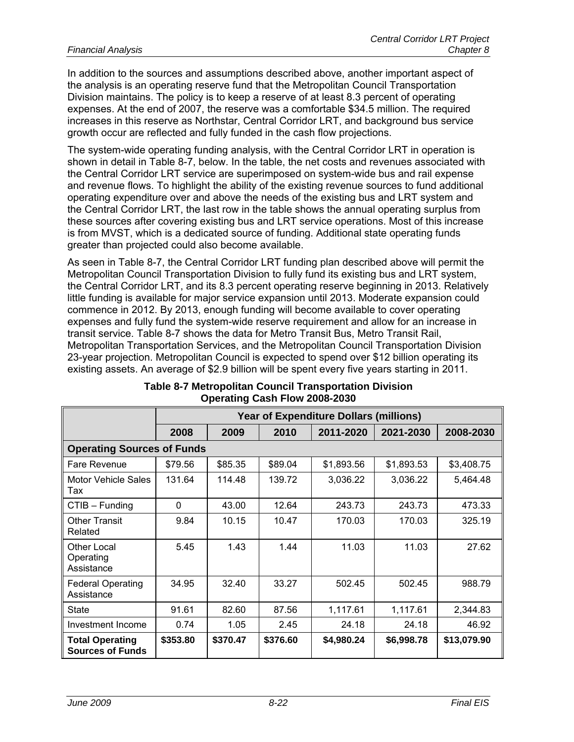In addition to the sources and assumptions described above, another important aspect of the analysis is an operating reserve fund that the Metropolitan Council Transportation Division maintains. The policy is to keep a reserve of at least 8.3 percent of operating expenses. At the end of 2007, the reserve was a comfortable \$34.5 million. The required increases in this reserve as Northstar, Central Corridor LRT, and background bus service growth occur are reflected and fully funded in the cash flow projections.

The system-wide operating funding analysis, with the Central Corridor LRT in operation is shown in detail in Table 8-7, below. In the table, the net costs and revenues associated with the Central Corridor LRT service are superimposed on system-wide bus and rail expense and revenue flows. To highlight the ability of the existing revenue sources to fund additional operating expenditure over and above the needs of the existing bus and LRT system and the Central Corridor LRT, the last row in the table shows the annual operating surplus from these sources after covering existing bus and LRT service operations. Most of this increase is from MVST, which is a dedicated source of funding. Additional state operating funds greater than projected could also become available.

As seen in Table 8-7, the Central Corridor LRT funding plan described above will permit the Metropolitan Council Transportation Division to fully fund its existing bus and LRT system, the Central Corridor LRT, and its 8.3 percent operating reserve beginning in 2013. Relatively little funding is available for major service expansion until 2013. Moderate expansion could commence in 2012. By 2013, enough funding will become available to cover operating expenses and fully fund the system-wide reserve requirement and allow for an increase in transit service. Table 8-7 shows the data for Metro Transit Bus, Metro Transit Rail, Metropolitan Transportation Services, and the Metropolitan Council Transportation Division 23-year projection. Metropolitan Council is expected to spend over \$12 billion operating its existing assets. An average of \$2.9 billion will be spent every five years starting in 2011.

|                                                   | <b>Year of Expenditure Dollars (millions)</b> |          |          |            |            |             |
|---------------------------------------------------|-----------------------------------------------|----------|----------|------------|------------|-------------|
|                                                   | 2008                                          | 2009     | 2010     | 2011-2020  | 2021-2030  | 2008-2030   |
| <b>Operating Sources of Funds</b>                 |                                               |          |          |            |            |             |
| Fare Revenue                                      | \$79.56                                       | \$85.35  | \$89.04  | \$1,893.56 | \$1,893.53 | \$3,408.75  |
| Motor Vehicle Sales<br>Tax                        | 131.64                                        | 114.48   | 139.72   | 3,036.22   | 3,036.22   | 5,464.48    |
| $CTIB - Funding$                                  | $\Omega$                                      | 43.00    | 12.64    | 243.73     | 243.73     | 473.33      |
| <b>Other Transit</b><br>Related                   | 9.84                                          | 10.15    | 10.47    | 170.03     | 170.03     | 325.19      |
| Other Local<br>Operating<br>Assistance            | 5.45                                          | 1.43     | 1.44     | 11.03      | 11.03      | 27.62       |
| <b>Federal Operating</b><br>Assistance            | 34.95                                         | 32.40    | 33.27    | 502.45     | 502.45     | 988.79      |
| <b>State</b>                                      | 91.61                                         | 82.60    | 87.56    | 1,117.61   | 1,117.61   | 2,344.83    |
| Investment Income                                 | 0.74                                          | 1.05     | 2.45     | 24.18      | 24.18      | 46.92       |
| <b>Total Operating</b><br><b>Sources of Funds</b> | \$353.80                                      | \$370.47 | \$376.60 | \$4,980.24 | \$6,998.78 | \$13,079.90 |

#### **Table 8-7 Metropolitan Council Transportation Division Operating Cash Flow 2008-2030**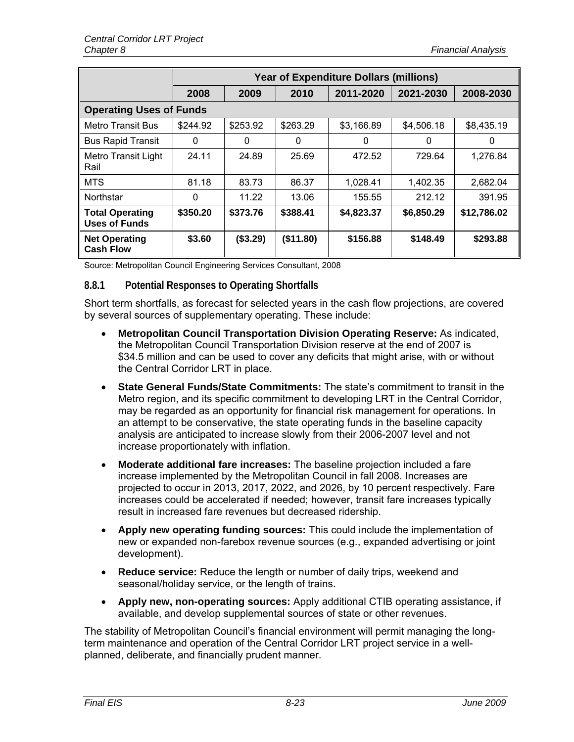|                                                | <b>Year of Expenditure Dollars (millions)</b> |          |           |            |            |             |
|------------------------------------------------|-----------------------------------------------|----------|-----------|------------|------------|-------------|
|                                                | 2008                                          | 2009     | 2010      | 2011-2020  | 2021-2030  | 2008-2030   |
| <b>Operating Uses of Funds</b>                 |                                               |          |           |            |            |             |
| <b>Metro Transit Bus</b>                       | \$244.92                                      | \$253.92 | \$263.29  | \$3,166.89 | \$4,506.18 | \$8,435.19  |
| <b>Bus Rapid Transit</b>                       | 0                                             | 0        | 0         | 0          | 0          | 0           |
| <b>Metro Transit Light</b><br>Rail             | 24.11                                         | 24.89    | 25.69     | 472.52     | 729.64     | 1,276.84    |
| <b>MTS</b>                                     | 81.18                                         | 83.73    | 86.37     | 1,028.41   | 1,402.35   | 2,682.04    |
| Northstar                                      | $\Omega$                                      | 11.22    | 13.06     | 155.55     | 212.12     | 391.95      |
| <b>Total Operating</b><br><b>Uses of Funds</b> | \$350.20                                      | \$373.76 | \$388.41  | \$4,823.37 | \$6,850.29 | \$12,786.02 |
| <b>Net Operating</b><br><b>Cash Flow</b>       | \$3.60                                        | (\$3.29) | (\$11.80) | \$156.88   | \$148.49   | \$293.88    |

Source: Metropolitan Council Engineering Services Consultant, 2008

## **8.8.1 Potential Responses to Operating Shortfalls**

Short term shortfalls, as forecast for selected years in the cash flow projections, are covered by several sources of supplementary operating. These include:

- **Metropolitan Council Transportation Division Operating Reserve:** As indicated, the Metropolitan Council Transportation Division reserve at the end of 2007 is \$34.5 million and can be used to cover any deficits that might arise, with or without the Central Corridor LRT in place.
- **State General Funds/State Commitments:** The state's commitment to transit in the Metro region, and its specific commitment to developing LRT in the Central Corridor, may be regarded as an opportunity for financial risk management for operations. In an attempt to be conservative, the state operating funds in the baseline capacity analysis are anticipated to increase slowly from their 2006-2007 level and not increase proportionately with inflation.
- **Moderate additional fare increases:** The baseline projection included a fare increase implemented by the Metropolitan Council in fall 2008. Increases are projected to occur in 2013, 2017, 2022, and 2026, by 10 percent respectively. Fare increases could be accelerated if needed; however, transit fare increases typically result in increased fare revenues but decreased ridership.
- **Apply new operating funding sources:** This could include the implementation of new or expanded non-farebox revenue sources (e.g., expanded advertising or joint development).
- **Reduce service:** Reduce the length or number of daily trips, weekend and seasonal/holiday service, or the length of trains.
- **Apply new, non-operating sources:** Apply additional CTIB operating assistance, if available, and develop supplemental sources of state or other revenues.

The stability of Metropolitan Council's financial environment will permit managing the longterm maintenance and operation of the Central Corridor LRT project service in a wellplanned, deliberate, and financially prudent manner.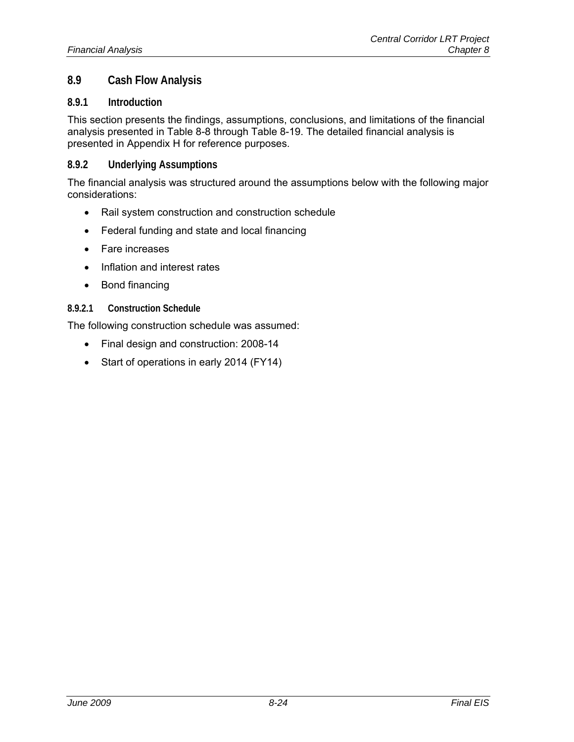## **8.9 Cash Flow Analysis**

#### **8.9.1 Introduction**

This section presents the findings, assumptions, conclusions, and limitations of the financial analysis presented in Table 8-8 through Table 8-19. The detailed financial analysis is presented in Appendix H for reference purposes.

#### **8.9.2 Underlying Assumptions**

The financial analysis was structured around the assumptions below with the following major considerations:

- Rail system construction and construction schedule
- Federal funding and state and local financing
- Fare increases
- Inflation and interest rates
- Bond financing

#### **8.9.2.1 Construction Schedule**

The following construction schedule was assumed:

- Final design and construction: 2008-14
- Start of operations in early 2014 (FY14)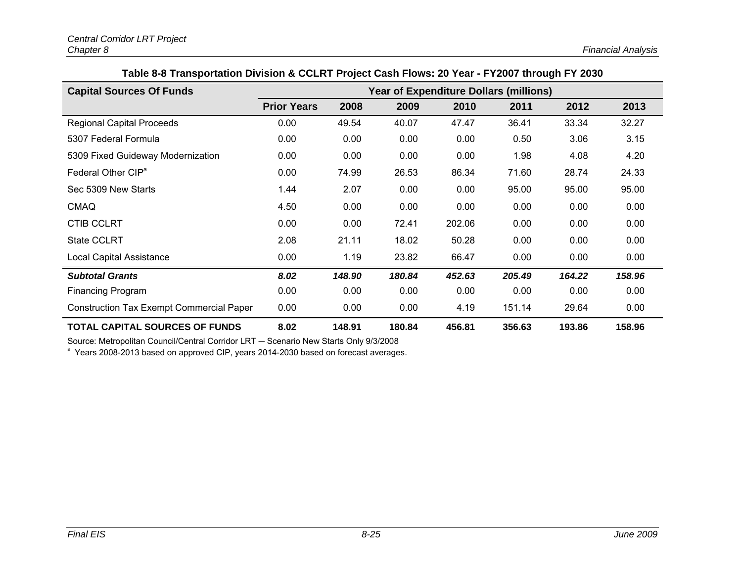|  |  | Table 8-8 Transportation Division & CCLRT Project Cash Flows: 20 Year - FY2007 through FY 2030 |
|--|--|------------------------------------------------------------------------------------------------|
|  |  |                                                                                                |

| <b>Capital Sources Of Funds</b>                 | <b>Year of Expenditure Dollars (millions)</b> |        |        |        |        |        |        |
|-------------------------------------------------|-----------------------------------------------|--------|--------|--------|--------|--------|--------|
|                                                 | <b>Prior Years</b>                            | 2008   | 2009   | 2010   | 2011   | 2012   | 2013   |
| <b>Regional Capital Proceeds</b>                | 0.00                                          | 49.54  | 40.07  | 47.47  | 36.41  | 33.34  | 32.27  |
| 5307 Federal Formula                            | 0.00                                          | 0.00   | 0.00   | 0.00   | 0.50   | 3.06   | 3.15   |
| 5309 Fixed Guideway Modernization               | 0.00                                          | 0.00   | 0.00   | 0.00   | 1.98   | 4.08   | 4.20   |
| Federal Other CIP <sup>a</sup>                  | 0.00                                          | 74.99  | 26.53  | 86.34  | 71.60  | 28.74  | 24.33  |
| Sec 5309 New Starts                             | 1.44                                          | 2.07   | 0.00   | 0.00   | 95.00  | 95.00  | 95.00  |
| <b>CMAQ</b>                                     | 4.50                                          | 0.00   | 0.00   | 0.00   | 0.00   | 0.00   | 0.00   |
| <b>CTIB CCLRT</b>                               | 0.00                                          | 0.00   | 72.41  | 202.06 | 0.00   | 0.00   | 0.00   |
| <b>State CCLRT</b>                              | 2.08                                          | 21.11  | 18.02  | 50.28  | 0.00   | 0.00   | 0.00   |
| Local Capital Assistance                        | 0.00                                          | 1.19   | 23.82  | 66.47  | 0.00   | 0.00   | 0.00   |
| <b>Subtotal Grants</b>                          | 8.02                                          | 148.90 | 180.84 | 452.63 | 205.49 | 164.22 | 158.96 |
| <b>Financing Program</b>                        | 0.00                                          | 0.00   | 0.00   | 0.00   | 0.00   | 0.00   | 0.00   |
| <b>Construction Tax Exempt Commercial Paper</b> | 0.00                                          | 0.00   | 0.00   | 4.19   | 151.14 | 29.64  | 0.00   |
| <b>TOTAL CAPITAL SOURCES OF FUNDS</b>           | 8.02                                          | 148.91 | 180.84 | 456.81 | 356.63 | 193.86 | 158.96 |

Source: Metropolitan Council/Central Corridor LRT - Scenario New Starts Only 9/3/2008

<sup>a</sup> Years 2008-2013 based on approved CIP, years 2014-2030 based on forecast averages.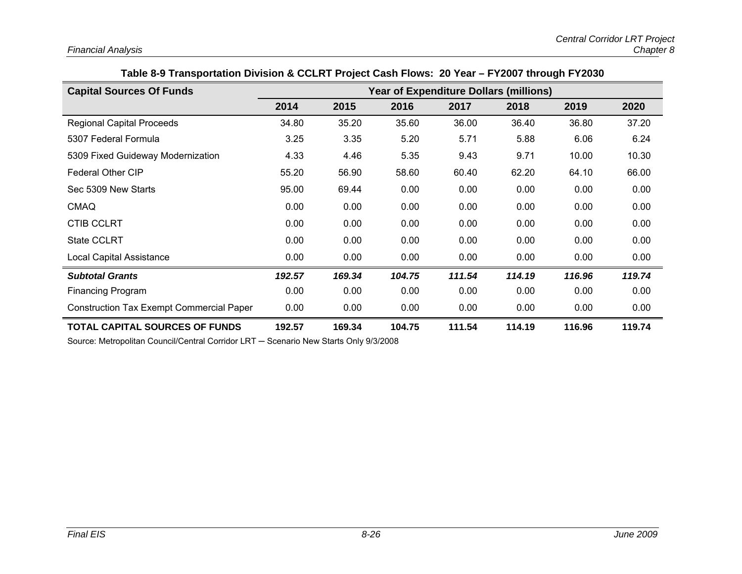| Table 8-9 Transportation Division & CCLRT Project Cash Flows:  20 Year – FY2007 through FY2030 |  |
|------------------------------------------------------------------------------------------------|--|
|------------------------------------------------------------------------------------------------|--|

| <b>Capital Sources Of Funds</b>                 | <b>Year of Expenditure Dollars (millions)</b> |        |        |        |        |        |        |
|-------------------------------------------------|-----------------------------------------------|--------|--------|--------|--------|--------|--------|
|                                                 | 2014                                          | 2015   | 2016   | 2017   | 2018   | 2019   | 2020   |
| <b>Regional Capital Proceeds</b>                | 34.80                                         | 35.20  | 35.60  | 36.00  | 36.40  | 36.80  | 37.20  |
| 5307 Federal Formula                            | 3.25                                          | 3.35   | 5.20   | 5.71   | 5.88   | 6.06   | 6.24   |
| 5309 Fixed Guideway Modernization               | 4.33                                          | 4.46   | 5.35   | 9.43   | 9.71   | 10.00  | 10.30  |
| <b>Federal Other CIP</b>                        | 55.20                                         | 56.90  | 58.60  | 60.40  | 62.20  | 64.10  | 66.00  |
| Sec 5309 New Starts                             | 95.00                                         | 69.44  | 0.00   | 0.00   | 0.00   | 0.00   | 0.00   |
| <b>CMAQ</b>                                     | 0.00                                          | 0.00   | 0.00   | 0.00   | 0.00   | 0.00   | 0.00   |
| <b>CTIB CCLRT</b>                               | 0.00                                          | 0.00   | 0.00   | 0.00   | 0.00   | 0.00   | 0.00   |
| <b>State CCLRT</b>                              | 0.00                                          | 0.00   | 0.00   | 0.00   | 0.00   | 0.00   | 0.00   |
| <b>Local Capital Assistance</b>                 | 0.00                                          | 0.00   | 0.00   | 0.00   | 0.00   | 0.00   | 0.00   |
| <b>Subtotal Grants</b>                          | 192.57                                        | 169.34 | 104.75 | 111.54 | 114.19 | 116.96 | 119.74 |
| <b>Financing Program</b>                        | 0.00                                          | 0.00   | 0.00   | 0.00   | 0.00   | 0.00   | 0.00   |
| <b>Construction Tax Exempt Commercial Paper</b> | 0.00                                          | 0.00   | 0.00   | 0.00   | 0.00   | 0.00   | 0.00   |
| <b>TOTAL CAPITAL SOURCES OF FUNDS</b>           | 192.57                                        | 169.34 | 104.75 | 111.54 | 114.19 | 116.96 | 119.74 |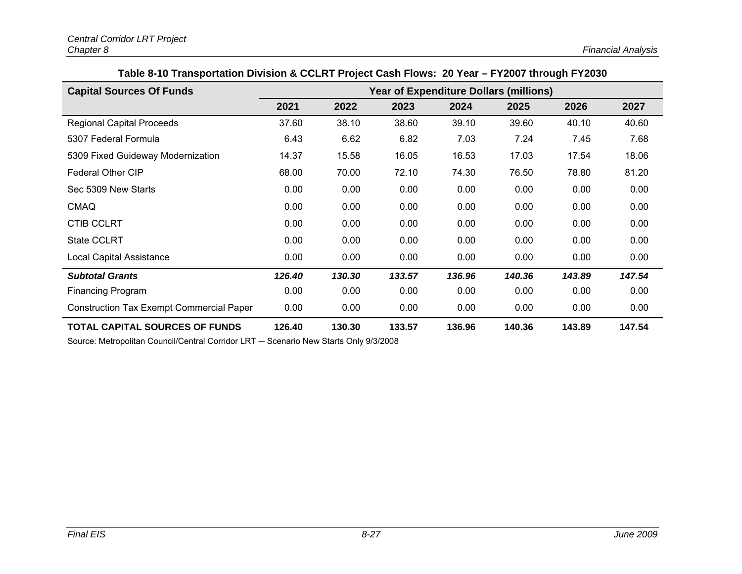| Table 8-10 Transportation Division & CCLRT Project Cash Flows: 20 Year - FY2007 through FY2030 |  |  |
|------------------------------------------------------------------------------------------------|--|--|
|------------------------------------------------------------------------------------------------|--|--|

| <b>Capital Sources Of Funds</b>                 | <b>Year of Expenditure Dollars (millions)</b> |        |        |        |        |        |        |
|-------------------------------------------------|-----------------------------------------------|--------|--------|--------|--------|--------|--------|
|                                                 | 2021                                          | 2022   | 2023   | 2024   | 2025   | 2026   | 2027   |
| <b>Regional Capital Proceeds</b>                | 37.60                                         | 38.10  | 38.60  | 39.10  | 39.60  | 40.10  | 40.60  |
| 5307 Federal Formula                            | 6.43                                          | 6.62   | 6.82   | 7.03   | 7.24   | 7.45   | 7.68   |
| 5309 Fixed Guideway Modernization               | 14.37                                         | 15.58  | 16.05  | 16.53  | 17.03  | 17.54  | 18.06  |
| Federal Other CIP                               | 68.00                                         | 70.00  | 72.10  | 74.30  | 76.50  | 78.80  | 81.20  |
| Sec 5309 New Starts                             | 0.00                                          | 0.00   | 0.00   | 0.00   | 0.00   | 0.00   | 0.00   |
| <b>CMAQ</b>                                     | 0.00                                          | 0.00   | 0.00   | 0.00   | 0.00   | 0.00   | 0.00   |
| <b>CTIB CCLRT</b>                               | 0.00                                          | 0.00   | 0.00   | 0.00   | 0.00   | 0.00   | 0.00   |
| <b>State CCLRT</b>                              | 0.00                                          | 0.00   | 0.00   | 0.00   | 0.00   | 0.00   | 0.00   |
| Local Capital Assistance                        | 0.00                                          | 0.00   | 0.00   | 0.00   | 0.00   | 0.00   | 0.00   |
| <b>Subtotal Grants</b>                          | 126.40                                        | 130.30 | 133.57 | 136.96 | 140.36 | 143.89 | 147.54 |
| <b>Financing Program</b>                        | 0.00                                          | 0.00   | 0.00   | 0.00   | 0.00   | 0.00   | 0.00   |
| <b>Construction Tax Exempt Commercial Paper</b> | 0.00                                          | 0.00   | 0.00   | 0.00   | 0.00   | 0.00   | 0.00   |
| <b>TOTAL CAPITAL SOURCES OF FUNDS</b>           | 126.40                                        | 130.30 | 133.57 | 136.96 | 140.36 | 143.89 | 147.54 |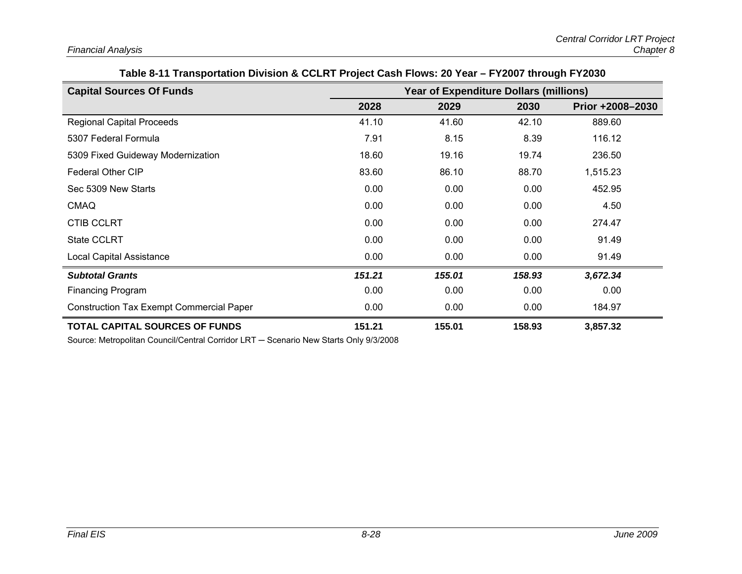| Table of FFTansportation Division & CCLRT Project Cash Plows. 20 Tear - PT2007 through PT2030 |                                               |        |        |                  |  |  |  |  |
|-----------------------------------------------------------------------------------------------|-----------------------------------------------|--------|--------|------------------|--|--|--|--|
| <b>Capital Sources Of Funds</b>                                                               | <b>Year of Expenditure Dollars (millions)</b> |        |        |                  |  |  |  |  |
|                                                                                               | 2028                                          | 2029   | 2030   | Prior +2008-2030 |  |  |  |  |
| <b>Regional Capital Proceeds</b>                                                              | 41.10                                         | 41.60  | 42.10  | 889.60           |  |  |  |  |
| 5307 Federal Formula                                                                          | 7.91                                          | 8.15   | 8.39   | 116.12           |  |  |  |  |
| 5309 Fixed Guideway Modernization                                                             | 18.60                                         | 19.16  | 19.74  | 236.50           |  |  |  |  |
| <b>Federal Other CIP</b>                                                                      | 83.60                                         | 86.10  | 88.70  | 1,515.23         |  |  |  |  |
| Sec 5309 New Starts                                                                           | 0.00                                          | 0.00   | 0.00   | 452.95           |  |  |  |  |
| <b>CMAQ</b>                                                                                   | 0.00                                          | 0.00   | 0.00   | 4.50             |  |  |  |  |
| <b>CTIB CCLRT</b>                                                                             | 0.00                                          | 0.00   | 0.00   | 274.47           |  |  |  |  |
| <b>State CCLRT</b>                                                                            | 0.00                                          | 0.00   | 0.00   | 91.49            |  |  |  |  |
| <b>Local Capital Assistance</b>                                                               | 0.00                                          | 0.00   | 0.00   | 91.49            |  |  |  |  |
| <b>Subtotal Grants</b>                                                                        | 151.21                                        | 155.01 | 158.93 | 3,672.34         |  |  |  |  |
| <b>Financing Program</b>                                                                      | 0.00                                          | 0.00   | 0.00   | 0.00             |  |  |  |  |
| <b>Construction Tax Exempt Commercial Paper</b>                                               | 0.00                                          | 0.00   | 0.00   | 184.97           |  |  |  |  |
| <b>TOTAL CAPITAL SOURCES OF FUNDS</b>                                                         | 151.21                                        | 155.01 | 158.93 | 3,857.32         |  |  |  |  |

## **Table 8-11 Transportation Division & CCLRT Project Cash Flows: 20 Year – FY2007 through FY2030**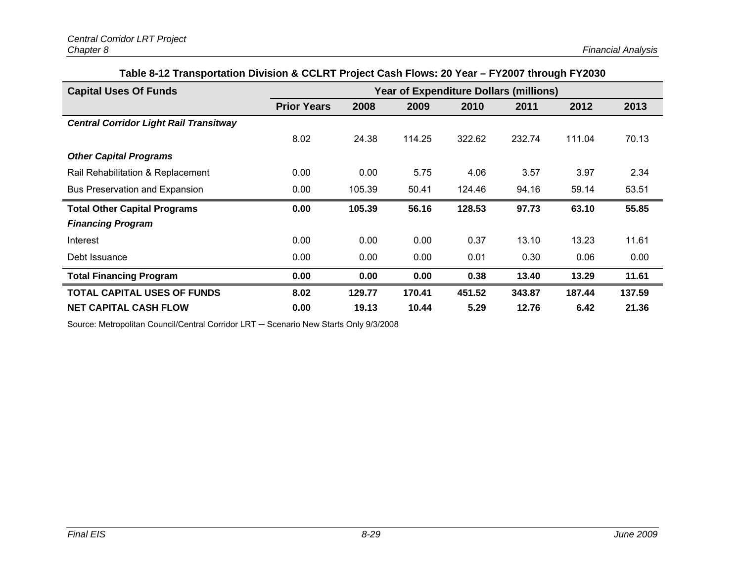## **Table 8-12 Transportation Division & CCLRT Project Cash Flows: 20 Year – FY2007 through FY2030**

| <b>Capital Uses Of Funds</b>                  | <b>Year of Expenditure Dollars (millions)</b> |        |        |        |        |        |        |
|-----------------------------------------------|-----------------------------------------------|--------|--------|--------|--------|--------|--------|
|                                               | <b>Prior Years</b>                            | 2008   | 2009   | 2010   | 2011   | 2012   | 2013   |
| <b>Central Corridor Light Rail Transitway</b> |                                               |        |        |        |        |        |        |
|                                               | 8.02                                          | 24.38  | 114.25 | 322.62 | 232.74 | 111.04 | 70.13  |
| <b>Other Capital Programs</b>                 |                                               |        |        |        |        |        |        |
| Rail Rehabilitation & Replacement             | 0.00                                          | 0.00   | 5.75   | 4.06   | 3.57   | 3.97   | 2.34   |
| Bus Preservation and Expansion                | 0.00                                          | 105.39 | 50.41  | 124.46 | 94.16  | 59.14  | 53.51  |
| <b>Total Other Capital Programs</b>           | 0.00                                          | 105.39 | 56.16  | 128.53 | 97.73  | 63.10  | 55.85  |
| <b>Financing Program</b>                      |                                               |        |        |        |        |        |        |
| Interest                                      | 0.00                                          | 0.00   | 0.00   | 0.37   | 13.10  | 13.23  | 11.61  |
| Debt Issuance                                 | 0.00                                          | 0.00   | 0.00   | 0.01   | 0.30   | 0.06   | 0.00   |
| <b>Total Financing Program</b>                | 0.00                                          | 0.00   | 0.00   | 0.38   | 13.40  | 13.29  | 11.61  |
| <b>TOTAL CAPITAL USES OF FUNDS</b>            | 8.02                                          | 129.77 | 170.41 | 451.52 | 343.87 | 187.44 | 137.59 |
| <b>NET CAPITAL CASH FLOW</b>                  | 0.00                                          | 19.13  | 10.44  | 5.29   | 12.76  | 6.42   | 21.36  |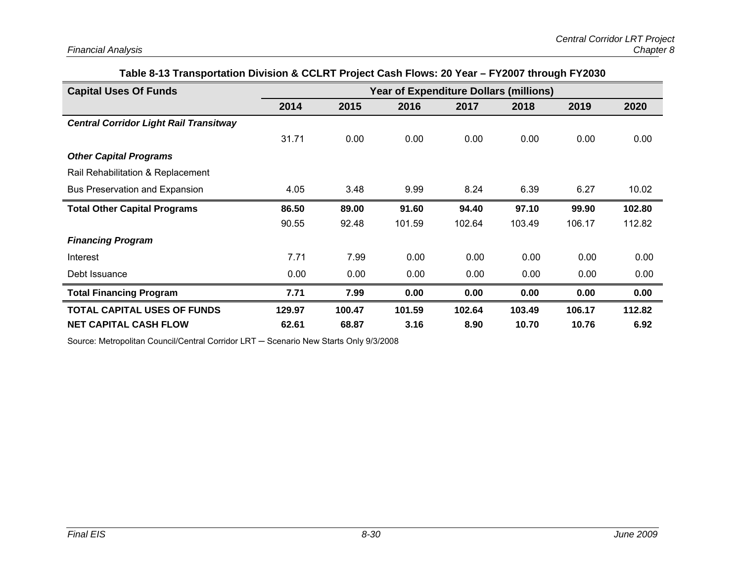| <b>Capital Uses Of Funds</b>                  |        | <b>Year of Expenditure Dollars (millions)</b> |        |        |        |        |        |
|-----------------------------------------------|--------|-----------------------------------------------|--------|--------|--------|--------|--------|
|                                               | 2014   | 2015                                          | 2016   | 2017   | 2018   | 2019   | 2020   |
| <b>Central Corridor Light Rail Transitway</b> |        |                                               |        |        |        |        |        |
|                                               | 31.71  | 0.00                                          | 0.00   | 0.00   | 0.00   | 0.00   | 0.00   |
| <b>Other Capital Programs</b>                 |        |                                               |        |        |        |        |        |
| Rail Rehabilitation & Replacement             |        |                                               |        |        |        |        |        |
| Bus Preservation and Expansion                | 4.05   | 3.48                                          | 9.99   | 8.24   | 6.39   | 6.27   | 10.02  |
| <b>Total Other Capital Programs</b>           | 86.50  | 89.00                                         | 91.60  | 94.40  | 97.10  | 99.90  | 102.80 |
|                                               | 90.55  | 92.48                                         | 101.59 | 102.64 | 103.49 | 106.17 | 112.82 |
| <b>Financing Program</b>                      |        |                                               |        |        |        |        |        |
| Interest                                      | 7.71   | 7.99                                          | 0.00   | 0.00   | 0.00   | 0.00   | 0.00   |
| Debt Issuance                                 | 0.00   | 0.00                                          | 0.00   | 0.00   | 0.00   | 0.00   | 0.00   |
| <b>Total Financing Program</b>                | 7.71   | 7.99                                          | 0.00   | 0.00   | 0.00   | 0.00   | 0.00   |
| <b>TOTAL CAPITAL USES OF FUNDS</b>            | 129.97 | 100.47                                        | 101.59 | 102.64 | 103.49 | 106.17 | 112.82 |
| <b>NET CAPITAL CASH FLOW</b>                  | 62.61  | 68.87                                         | 3.16   | 8.90   | 10.70  | 10.76  | 6.92   |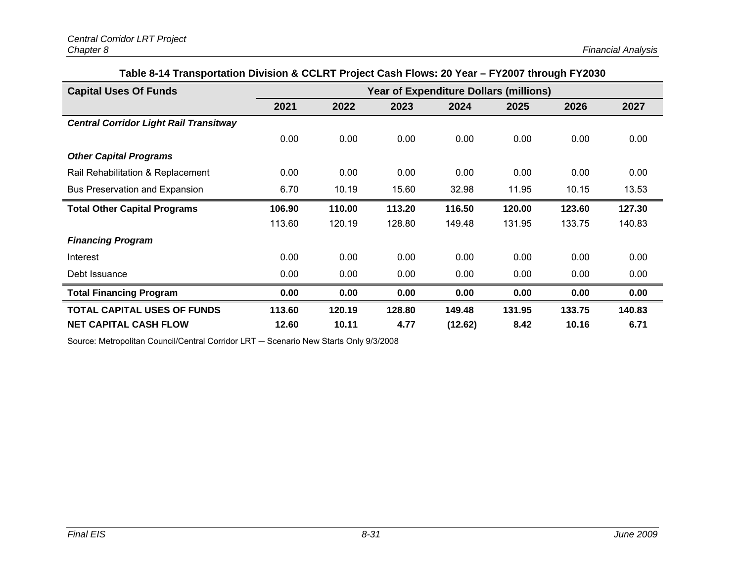| Table 8-14 Transportation Division & CCLRT Project Cash Flows: 20 Year – FY2007 through FY2030 |  |  |  |
|------------------------------------------------------------------------------------------------|--|--|--|
|------------------------------------------------------------------------------------------------|--|--|--|

| <b>Capital Uses Of Funds</b>                  | <b>Year of Expenditure Dollars (millions)</b> |        |        |         |        |        |        |
|-----------------------------------------------|-----------------------------------------------|--------|--------|---------|--------|--------|--------|
|                                               | 2021                                          | 2022   | 2023   | 2024    | 2025   | 2026   | 2027   |
| <b>Central Corridor Light Rail Transitway</b> |                                               |        |        |         |        |        |        |
|                                               | 0.00                                          | 0.00   | 0.00   | 0.00    | 0.00   | 0.00   | 0.00   |
| <b>Other Capital Programs</b>                 |                                               |        |        |         |        |        |        |
| Rail Rehabilitation & Replacement             | 0.00                                          | 0.00   | 0.00   | 0.00    | 0.00   | 0.00   | 0.00   |
| <b>Bus Preservation and Expansion</b>         | 6.70                                          | 10.19  | 15.60  | 32.98   | 11.95  | 10.15  | 13.53  |
| <b>Total Other Capital Programs</b>           | 106.90                                        | 110.00 | 113.20 | 116.50  | 120.00 | 123.60 | 127.30 |
|                                               | 113.60                                        | 120.19 | 128.80 | 149.48  | 131.95 | 133.75 | 140.83 |
| <b>Financing Program</b>                      |                                               |        |        |         |        |        |        |
| Interest                                      | 0.00                                          | 0.00   | 0.00   | 0.00    | 0.00   | 0.00   | 0.00   |
| Debt Issuance                                 | 0.00                                          | 0.00   | 0.00   | 0.00    | 0.00   | 0.00   | 0.00   |
| <b>Total Financing Program</b>                | 0.00                                          | 0.00   | 0.00   | 0.00    | 0.00   | 0.00   | 0.00   |
| <b>TOTAL CAPITAL USES OF FUNDS</b>            | 113.60                                        | 120.19 | 128.80 | 149.48  | 131.95 | 133.75 | 140.83 |
| <b>NET CAPITAL CASH FLOW</b>                  | 12.60                                         | 10.11  | 4.77   | (12.62) | 8.42   | 10.16  | 6.71   |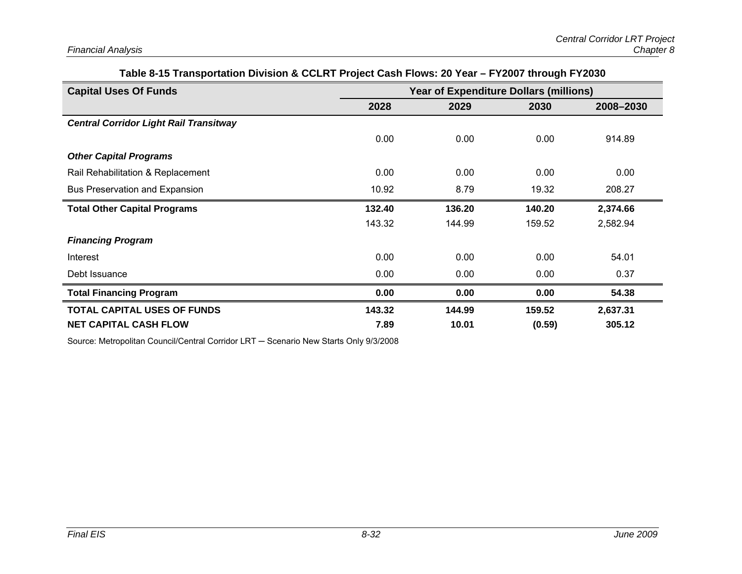| <b>Capital Uses Of Funds</b>                  | <b>Year of Expenditure Dollars (millions)</b> |        |        |           |  |  |  |
|-----------------------------------------------|-----------------------------------------------|--------|--------|-----------|--|--|--|
|                                               | 2028                                          | 2029   | 2030   | 2008-2030 |  |  |  |
| <b>Central Corridor Light Rail Transitway</b> |                                               |        |        |           |  |  |  |
|                                               | 0.00                                          | 0.00   | 0.00   | 914.89    |  |  |  |
| <b>Other Capital Programs</b>                 |                                               |        |        |           |  |  |  |
| Rail Rehabilitation & Replacement             | 0.00                                          | 0.00   | 0.00   | 0.00      |  |  |  |
| Bus Preservation and Expansion                | 10.92                                         | 8.79   | 19.32  | 208.27    |  |  |  |
| <b>Total Other Capital Programs</b>           | 132.40                                        | 136.20 | 140.20 | 2,374.66  |  |  |  |
|                                               | 143.32                                        | 144.99 | 159.52 | 2,582.94  |  |  |  |
| <b>Financing Program</b>                      |                                               |        |        |           |  |  |  |
| Interest                                      | 0.00                                          | 0.00   | 0.00   | 54.01     |  |  |  |
| Debt Issuance                                 | 0.00                                          | 0.00   | 0.00   | 0.37      |  |  |  |
| <b>Total Financing Program</b>                | 0.00                                          | 0.00   | 0.00   | 54.38     |  |  |  |
| <b>TOTAL CAPITAL USES OF FUNDS</b>            | 143.32                                        | 144.99 | 159.52 | 2,637.31  |  |  |  |
| <b>NET CAPITAL CASH FLOW</b>                  | 7.89                                          | 10.01  | (0.59) | 305.12    |  |  |  |

#### **Table 8-15 Transportation Division & CCLRT Project Cash Flows: 20 Year – FY2007 through FY2030**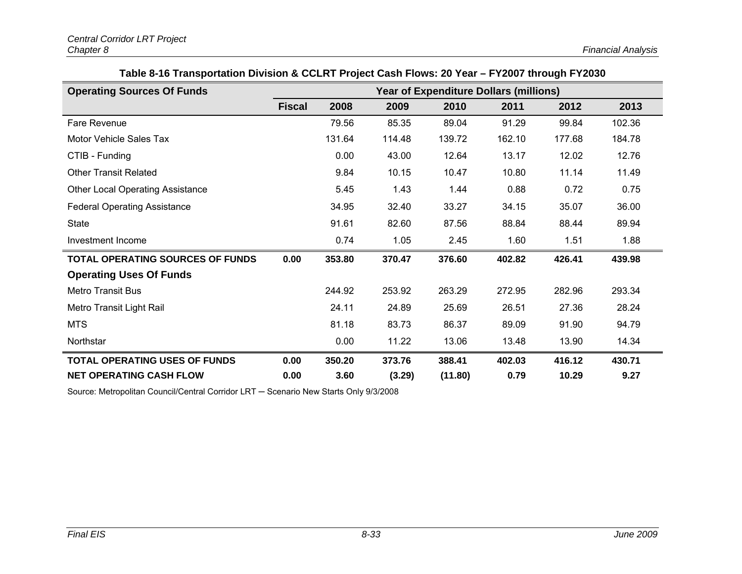| Table 8-16 Transportation Division & CCLRT Project Cash Flows: 20 Year – FY2007 through FY2030 |
|------------------------------------------------------------------------------------------------|
|------------------------------------------------------------------------------------------------|

| <b>Operating Sources Of Funds</b>       | <b>Year of Expenditure Dollars (millions)</b> |        |        |         |        |        |        |
|-----------------------------------------|-----------------------------------------------|--------|--------|---------|--------|--------|--------|
|                                         | <b>Fiscal</b>                                 | 2008   | 2009   | 2010    | 2011   | 2012   | 2013   |
| Fare Revenue                            |                                               | 79.56  | 85.35  | 89.04   | 91.29  | 99.84  | 102.36 |
| Motor Vehicle Sales Tax                 |                                               | 131.64 | 114.48 | 139.72  | 162.10 | 177.68 | 184.78 |
| CTIB - Funding                          |                                               | 0.00   | 43.00  | 12.64   | 13.17  | 12.02  | 12.76  |
| <b>Other Transit Related</b>            |                                               | 9.84   | 10.15  | 10.47   | 10.80  | 11.14  | 11.49  |
| <b>Other Local Operating Assistance</b> |                                               | 5.45   | 1.43   | 1.44    | 0.88   | 0.72   | 0.75   |
| <b>Federal Operating Assistance</b>     |                                               | 34.95  | 32.40  | 33.27   | 34.15  | 35.07  | 36.00  |
| <b>State</b>                            |                                               | 91.61  | 82.60  | 87.56   | 88.84  | 88.44  | 89.94  |
| Investment Income                       |                                               | 0.74   | 1.05   | 2.45    | 1.60   | 1.51   | 1.88   |
| <b>TOTAL OPERATING SOURCES OF FUNDS</b> | 0.00                                          | 353.80 | 370.47 | 376.60  | 402.82 | 426.41 | 439.98 |
| <b>Operating Uses Of Funds</b>          |                                               |        |        |         |        |        |        |
| <b>Metro Transit Bus</b>                |                                               | 244.92 | 253.92 | 263.29  | 272.95 | 282.96 | 293.34 |
| Metro Transit Light Rail                |                                               | 24.11  | 24.89  | 25.69   | 26.51  | 27.36  | 28.24  |
| <b>MTS</b>                              |                                               | 81.18  | 83.73  | 86.37   | 89.09  | 91.90  | 94.79  |
| Northstar                               |                                               | 0.00   | 11.22  | 13.06   | 13.48  | 13.90  | 14.34  |
| <b>TOTAL OPERATING USES OF FUNDS</b>    | 0.00                                          | 350.20 | 373.76 | 388.41  | 402.03 | 416.12 | 430.71 |
| <b>NET OPERATING CASH FLOW</b>          | 0.00                                          | 3.60   | (3.29) | (11.80) | 0.79   | 10.29  | 9.27   |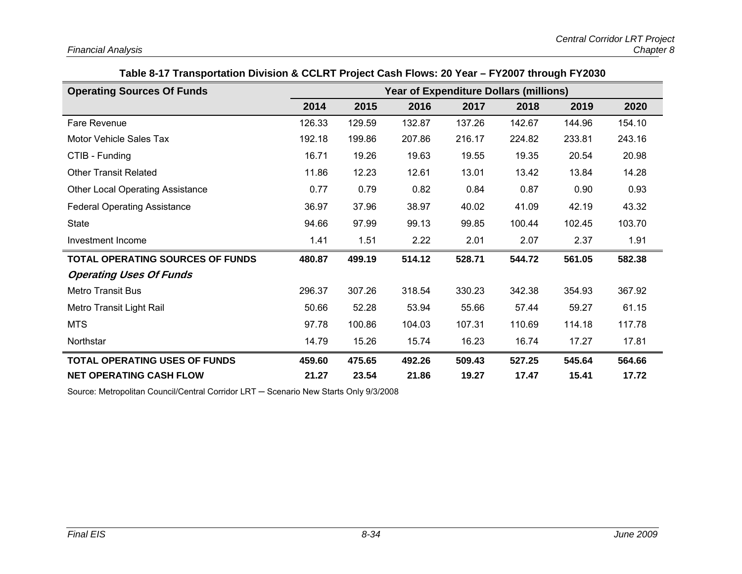| Table 8-17 Transportation Division & CCLRT Project Cash Flows: 20 Year – FY2007 through FY2030 |
|------------------------------------------------------------------------------------------------|
|------------------------------------------------------------------------------------------------|

| <b>Operating Sources Of Funds</b>       | <b>Year of Expenditure Dollars (millions)</b> |        |        |        |        |        |        |
|-----------------------------------------|-----------------------------------------------|--------|--------|--------|--------|--------|--------|
|                                         | 2014                                          | 2015   | 2016   | 2017   | 2018   | 2019   | 2020   |
| Fare Revenue                            | 126.33                                        | 129.59 | 132.87 | 137.26 | 142.67 | 144.96 | 154.10 |
| Motor Vehicle Sales Tax                 | 192.18                                        | 199.86 | 207.86 | 216.17 | 224.82 | 233.81 | 243.16 |
| CTIB - Funding                          | 16.71                                         | 19.26  | 19.63  | 19.55  | 19.35  | 20.54  | 20.98  |
| <b>Other Transit Related</b>            | 11.86                                         | 12.23  | 12.61  | 13.01  | 13.42  | 13.84  | 14.28  |
| <b>Other Local Operating Assistance</b> | 0.77                                          | 0.79   | 0.82   | 0.84   | 0.87   | 0.90   | 0.93   |
| <b>Federal Operating Assistance</b>     | 36.97                                         | 37.96  | 38.97  | 40.02  | 41.09  | 42.19  | 43.32  |
| <b>State</b>                            | 94.66                                         | 97.99  | 99.13  | 99.85  | 100.44 | 102.45 | 103.70 |
| Investment Income                       | 1.41                                          | 1.51   | 2.22   | 2.01   | 2.07   | 2.37   | 1.91   |
| <b>TOTAL OPERATING SOURCES OF FUNDS</b> | 480.87                                        | 499.19 | 514.12 | 528.71 | 544.72 | 561.05 | 582.38 |
| <b>Operating Uses Of Funds</b>          |                                               |        |        |        |        |        |        |
| <b>Metro Transit Bus</b>                | 296.37                                        | 307.26 | 318.54 | 330.23 | 342.38 | 354.93 | 367.92 |
| Metro Transit Light Rail                | 50.66                                         | 52.28  | 53.94  | 55.66  | 57.44  | 59.27  | 61.15  |
| <b>MTS</b>                              | 97.78                                         | 100.86 | 104.03 | 107.31 | 110.69 | 114.18 | 117.78 |
| Northstar                               | 14.79                                         | 15.26  | 15.74  | 16.23  | 16.74  | 17.27  | 17.81  |
| <b>TOTAL OPERATING USES OF FUNDS</b>    | 459.60                                        | 475.65 | 492.26 | 509.43 | 527.25 | 545.64 | 564.66 |
| <b>NET OPERATING CASH FLOW</b>          | 21.27                                         | 23.54  | 21.86  | 19.27  | 17.47  | 15.41  | 17.72  |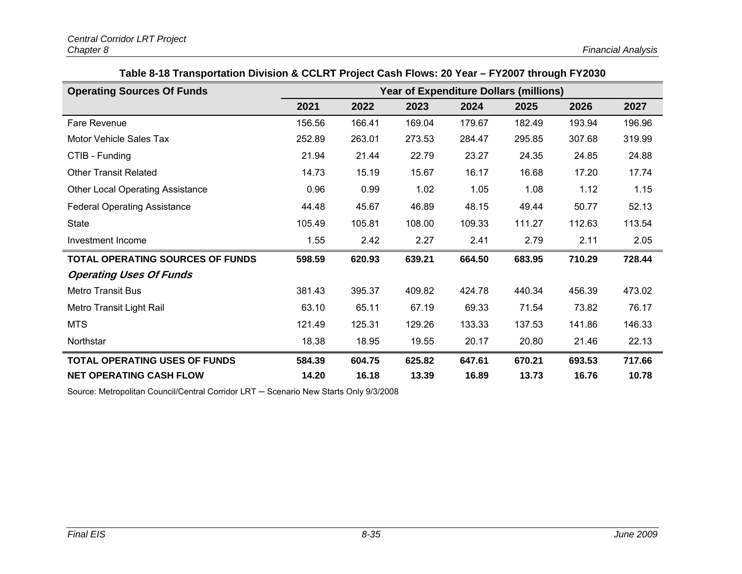**Table 8-18 Transportation Division & CCLRT Project Cash Flows: 20 Year – FY2007 through FY2030** 

| <b>Operating Sources Of Funds</b>       | <b>Year of Expenditure Dollars (millions)</b> |        |        |        |        |        |        |
|-----------------------------------------|-----------------------------------------------|--------|--------|--------|--------|--------|--------|
|                                         | 2021                                          | 2022   | 2023   | 2024   | 2025   | 2026   | 2027   |
| Fare Revenue                            | 156.56                                        | 166.41 | 169.04 | 179.67 | 182.49 | 193.94 | 196.96 |
| Motor Vehicle Sales Tax                 | 252.89                                        | 263.01 | 273.53 | 284.47 | 295.85 | 307.68 | 319.99 |
| CTIB - Funding                          | 21.94                                         | 21.44  | 22.79  | 23.27  | 24.35  | 24.85  | 24.88  |
| <b>Other Transit Related</b>            | 14.73                                         | 15.19  | 15.67  | 16.17  | 16.68  | 17.20  | 17.74  |
| <b>Other Local Operating Assistance</b> | 0.96                                          | 0.99   | 1.02   | 1.05   | 1.08   | 1.12   | 1.15   |
| <b>Federal Operating Assistance</b>     | 44.48                                         | 45.67  | 46.89  | 48.15  | 49.44  | 50.77  | 52.13  |
| <b>State</b>                            | 105.49                                        | 105.81 | 108.00 | 109.33 | 111.27 | 112.63 | 113.54 |
| Investment Income                       | 1.55                                          | 2.42   | 2.27   | 2.41   | 2.79   | 2.11   | 2.05   |
| <b>TOTAL OPERATING SOURCES OF FUNDS</b> | 598.59                                        | 620.93 | 639.21 | 664.50 | 683.95 | 710.29 | 728.44 |
| <b>Operating Uses Of Funds</b>          |                                               |        |        |        |        |        |        |
| <b>Metro Transit Bus</b>                | 381.43                                        | 395.37 | 409.82 | 424.78 | 440.34 | 456.39 | 473.02 |
| Metro Transit Light Rail                | 63.10                                         | 65.11  | 67.19  | 69.33  | 71.54  | 73.82  | 76.17  |
| <b>MTS</b>                              | 121.49                                        | 125.31 | 129.26 | 133.33 | 137.53 | 141.86 | 146.33 |
| Northstar                               | 18.38                                         | 18.95  | 19.55  | 20.17  | 20.80  | 21.46  | 22.13  |
| <b>TOTAL OPERATING USES OF FUNDS</b>    | 584.39                                        | 604.75 | 625.82 | 647.61 | 670.21 | 693.53 | 717.66 |
| <b>NET OPERATING CASH FLOW</b>          | 14.20                                         | 16.18  | 13.39  | 16.89  | 13.73  | 16.76  | 10.78  |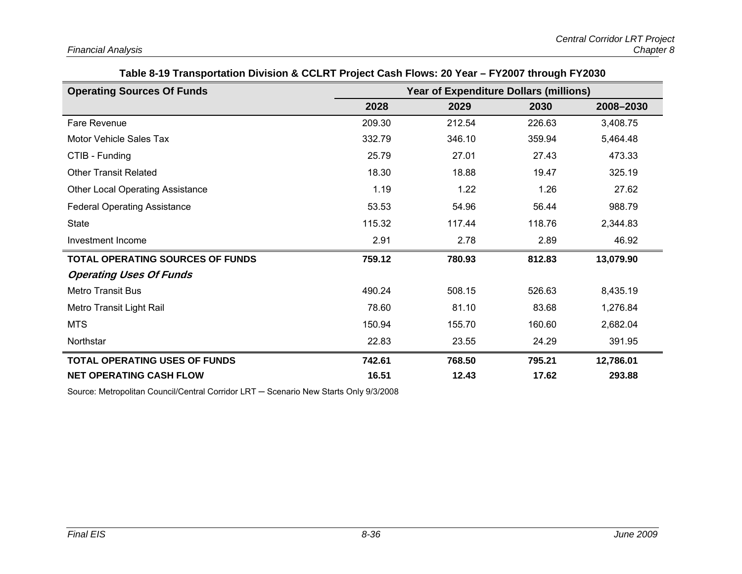| Table 8-19 Transportation Division & CCLRT Project Cash Flows: 20 Year – FY2007 through FY2030 |  |  |
|------------------------------------------------------------------------------------------------|--|--|
|                                                                                                |  |  |

| <b>Operating Sources Of Funds</b>       | <b>Year of Expenditure Dollars (millions)</b> |        |        |           |  |
|-----------------------------------------|-----------------------------------------------|--------|--------|-----------|--|
|                                         | 2028                                          | 2029   | 2030   | 2008-2030 |  |
| Fare Revenue                            | 209.30                                        | 212.54 | 226.63 | 3,408.75  |  |
| Motor Vehicle Sales Tax                 | 332.79                                        | 346.10 | 359.94 | 5,464.48  |  |
| CTIB - Funding                          | 25.79                                         | 27.01  | 27.43  | 473.33    |  |
| <b>Other Transit Related</b>            | 18.30                                         | 18.88  | 19.47  | 325.19    |  |
| <b>Other Local Operating Assistance</b> | 1.19                                          | 1.22   | 1.26   | 27.62     |  |
| <b>Federal Operating Assistance</b>     | 53.53                                         | 54.96  | 56.44  | 988.79    |  |
| <b>State</b>                            | 115.32                                        | 117.44 | 118.76 | 2,344.83  |  |
| Investment Income                       | 2.91                                          | 2.78   | 2.89   | 46.92     |  |
| <b>TOTAL OPERATING SOURCES OF FUNDS</b> | 759.12                                        | 780.93 | 812.83 | 13,079.90 |  |
| <b>Operating Uses Of Funds</b>          |                                               |        |        |           |  |
| <b>Metro Transit Bus</b>                | 490.24                                        | 508.15 | 526.63 | 8,435.19  |  |
| Metro Transit Light Rail                | 78.60                                         | 81.10  | 83.68  | 1,276.84  |  |
| <b>MTS</b>                              | 150.94                                        | 155.70 | 160.60 | 2,682.04  |  |
| Northstar                               | 22.83                                         | 23.55  | 24.29  | 391.95    |  |
| <b>TOTAL OPERATING USES OF FUNDS</b>    | 742.61                                        | 768.50 | 795.21 | 12,786.01 |  |
| <b>NET OPERATING CASH FLOW</b>          | 16.51                                         | 12.43  | 17.62  | 293.88    |  |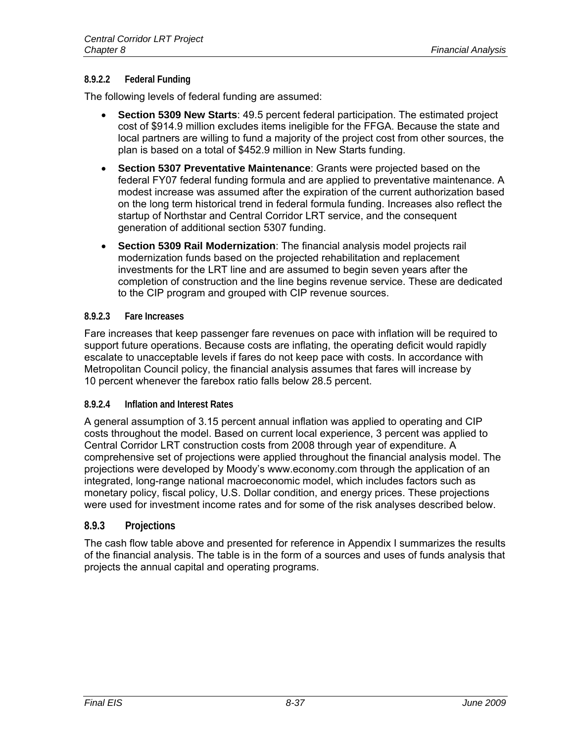#### **8.9.2.2 Federal Funding**

The following levels of federal funding are assumed:

- **Section 5309 New Starts**: 49.5 percent federal participation. The estimated project cost of \$914.9 million excludes items ineligible for the FFGA. Because the state and local partners are willing to fund a majority of the project cost from other sources, the plan is based on a total of \$452.9 million in New Starts funding.
- **Section 5307 Preventative Maintenance**: Grants were projected based on the federal FY07 federal funding formula and are applied to preventative maintenance. A modest increase was assumed after the expiration of the current authorization based on the long term historical trend in federal formula funding. Increases also reflect the startup of Northstar and Central Corridor LRT service, and the consequent generation of additional section 5307 funding.
- **Section 5309 Rail Modernization**: The financial analysis model projects rail modernization funds based on the projected rehabilitation and replacement investments for the LRT line and are assumed to begin seven years after the completion of construction and the line begins revenue service. These are dedicated to the CIP program and grouped with CIP revenue sources.

#### **8.9.2.3 Fare Increases**

Fare increases that keep passenger fare revenues on pace with inflation will be required to support future operations. Because costs are inflating, the operating deficit would rapidly escalate to unacceptable levels if fares do not keep pace with costs. In accordance with Metropolitan Council policy, the financial analysis assumes that fares will increase by 10 percent whenever the farebox ratio falls below 28.5 percent.

#### **8.9.2.4 Inflation and Interest Rates**

A general assumption of 3.15 percent annual inflation was applied to operating and CIP costs throughout the model. Based on current local experience, 3 percent was applied to Central Corridor LRT construction costs from 2008 through year of expenditure. A comprehensive set of projections were applied throughout the financial analysis model. The projections were developed by Moody's www.economy.com through the application of an integrated, long-range national macroeconomic model, which includes factors such as monetary policy, fiscal policy, U.S. Dollar condition, and energy prices. These projections were used for investment income rates and for some of the risk analyses described below.

## **8.9.3 Projections**

The cash flow table above and presented for reference in Appendix I summarizes the results of the financial analysis. The table is in the form of a sources and uses of funds analysis that projects the annual capital and operating programs.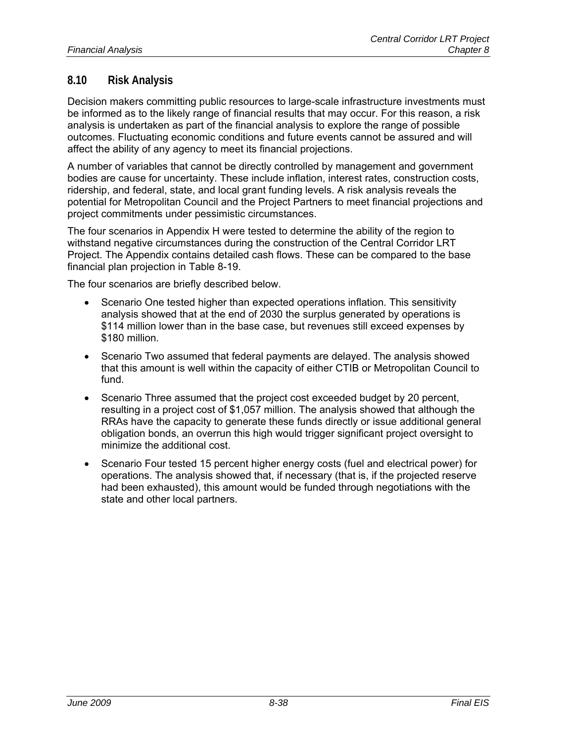## **8.10 Risk Analysis**

Decision makers committing public resources to large-scale infrastructure investments must be informed as to the likely range of financial results that may occur. For this reason, a risk analysis is undertaken as part of the financial analysis to explore the range of possible outcomes. Fluctuating economic conditions and future events cannot be assured and will affect the ability of any agency to meet its financial projections.

A number of variables that cannot be directly controlled by management and government bodies are cause for uncertainty. These include inflation, interest rates, construction costs, ridership, and federal, state, and local grant funding levels. A risk analysis reveals the potential for Metropolitan Council and the Project Partners to meet financial projections and project commitments under pessimistic circumstances.

The four scenarios in Appendix H were tested to determine the ability of the region to withstand negative circumstances during the construction of the Central Corridor LRT Project. The Appendix contains detailed cash flows. These can be compared to the base financial plan projection in Table 8-19.

The four scenarios are briefly described below.

- Scenario One tested higher than expected operations inflation. This sensitivity analysis showed that at the end of 2030 the surplus generated by operations is \$114 million lower than in the base case, but revenues still exceed expenses by \$180 million.
- Scenario Two assumed that federal payments are delayed. The analysis showed that this amount is well within the capacity of either CTIB or Metropolitan Council to fund.
- Scenario Three assumed that the project cost exceeded budget by 20 percent, resulting in a project cost of \$1,057 million. The analysis showed that although the RRAs have the capacity to generate these funds directly or issue additional general obligation bonds, an overrun this high would trigger significant project oversight to minimize the additional cost.
- Scenario Four tested 15 percent higher energy costs (fuel and electrical power) for operations. The analysis showed that, if necessary (that is, if the projected reserve had been exhausted), this amount would be funded through negotiations with the state and other local partners.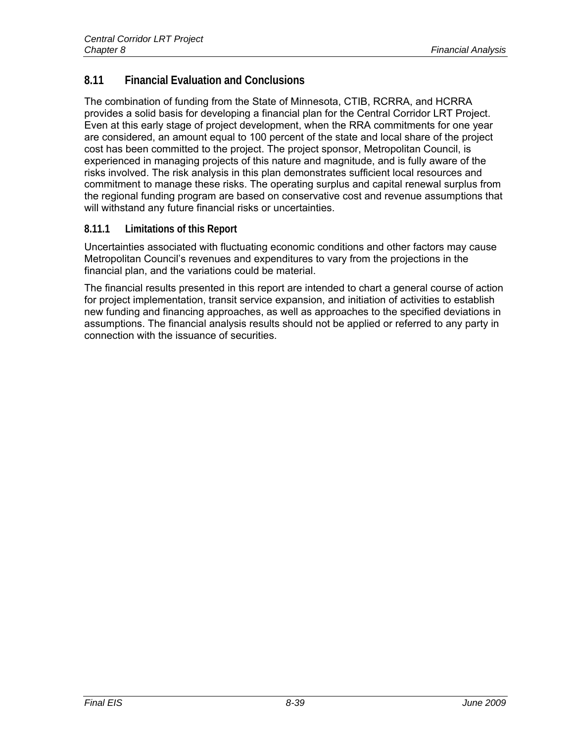## **8.11 Financial Evaluation and Conclusions**

The combination of funding from the State of Minnesota, CTIB, RCRRA, and HCRRA provides a solid basis for developing a financial plan for the Central Corridor LRT Project. Even at this early stage of project development, when the RRA commitments for one year are considered, an amount equal to 100 percent of the state and local share of the project cost has been committed to the project. The project sponsor, Metropolitan Council, is experienced in managing projects of this nature and magnitude, and is fully aware of the risks involved. The risk analysis in this plan demonstrates sufficient local resources and commitment to manage these risks. The operating surplus and capital renewal surplus from the regional funding program are based on conservative cost and revenue assumptions that will withstand any future financial risks or uncertainties.

## **8.11.1 Limitations of this Report**

Uncertainties associated with fluctuating economic conditions and other factors may cause Metropolitan Council's revenues and expenditures to vary from the projections in the financial plan, and the variations could be material.

The financial results presented in this report are intended to chart a general course of action for project implementation, transit service expansion, and initiation of activities to establish new funding and financing approaches, as well as approaches to the specified deviations in assumptions. The financial analysis results should not be applied or referred to any party in connection with the issuance of securities.